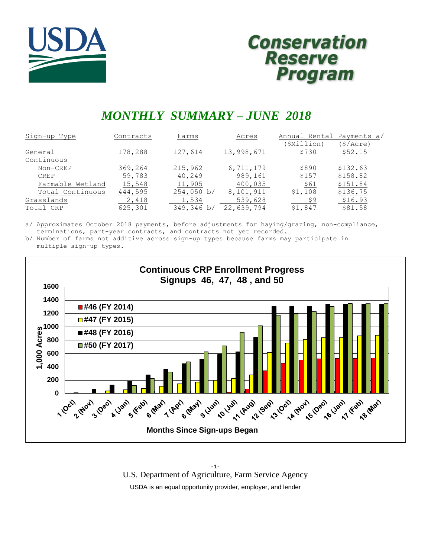



# *MONTHLY SUMMARY – JUNE 2018*

| Sign-up Type     | Contracts | Farms      | Acres      | Annual Rental Payments a/ |          |
|------------------|-----------|------------|------------|---------------------------|----------|
|                  |           |            |            | (\$Million)               | (S/Acre) |
| General          | 178,288   | 127,614    | 13,998,671 | \$730                     | \$52.15  |
| Continuous       |           |            |            |                           |          |
| Non-CREP         | 369,264   | 215,962    | 6,711,179  | \$890                     | \$132.63 |
| <b>CREP</b>      | 59,783    | 40,249     | 989,161    | \$157                     | \$158.82 |
| Farmable Wetland | 15,548    | 11,905     | 400,035    | \$61                      | \$151.84 |
| Total Continuous | 444,595   | 254,050 b/ | 8,101,911  | \$1,108                   | \$136.75 |
| Grasslands       | 2,418     | 1,534      | 539,628    | \$9                       | \$16.93  |
| Total CRP        | 625,301   | 349,346 b/ | 22,639,794 | \$1,847                   | \$81.58  |

a/ Approximates October 2018 payments, before adjustments for haying/grazing, non-compliance, terminations, part-year contracts, and contracts not yet recorded.

b/ Number of farms not additive across sign-up types because farms may participate in multiple sign-up types.



-1- U.S. Department of Agriculture, Farm Service Agency USDA is an equal opportunity provider, employer, and lender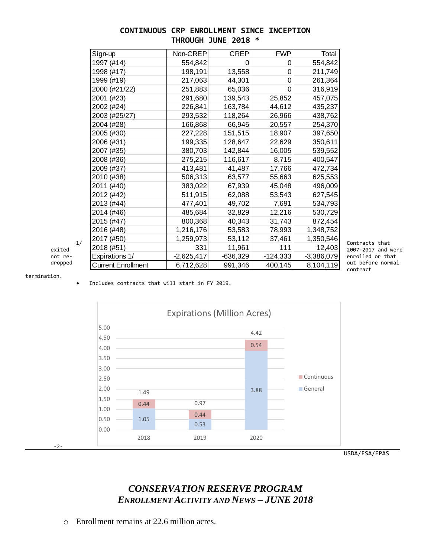## **CONTINUOUS CRP ENROLLMENT SINCE INCEPTION THROUGH JUNE 2018 \***

| Sign-up                              | Non-CREP     | <b>CREP</b> | <b>FWP</b> | Total        |
|--------------------------------------|--------------|-------------|------------|--------------|
| 1997 (#14)                           | 554,842      | $\Omega$    | 0          | 554,842      |
| 1998 (#17)                           | 198,191      | 13,558      | 0          | 211,749      |
| 1999 (#19)                           | 217,063      | 44,301      | 0          | 261,364      |
| 2000 (#21/22)                        | 251,883      | 65,036      | 0          | 316,919      |
| 2001 (#23)                           | 291,680      | 139,543     | 25,852     | 457,075      |
| 2002 (#24)                           | 226,841      | 163,784     | 44,612     | 435,237      |
| 2003 (#25/27)                        | 293,532      | 118,264     | 26,966     | 438,762      |
| 2004 (#28)                           | 166,868      | 66,945      | 20,557     | 254,370      |
| 2005 (#30)                           | 227,228      | 151,515     | 18,907     | 397,650      |
| 2006 (#31)                           | 199,335      | 128,647     | 22,629     | 350,611      |
| 2007 (#35)                           | 380,703      | 142,844     | 16,005     | 539,552      |
| 2008 (#36)                           | 275,215      | 116,617     | 8,715      | 400,547      |
| 2009 (#37)                           | 413,481      | 41,487      | 17,766     | 472,734      |
| 2010 (#38)                           | 506,313      | 63,577      | 55,663     | 625,553      |
| 2011 (#40)                           | 383,022      | 67,939      | 45,048     | 496,009      |
| 2012 (#42)                           | 511,915      | 62,088      | 53,543     | 627,545      |
| 2013 (#44)                           | 477,401      | 49,702      | 7,691      | 534,793      |
| 2014 (#46)                           | 485,684      | 32,829      | 12,216     | 530,729      |
| 2015 (#47)                           | 800,368      | 40,343      | 31,743     | 872,454      |
| 2016 (#48)                           | 1,216,176    | 53,583      | 78,993     | 1,348,752    |
| 2017 (#50)<br>1/                     | 1,259,973    | 53,112      | 37,461     | 1,350,546    |
| 2018 (#51)<br>exited                 | 331          | 11,961      | 111        | 12,403       |
| Expirations 1/<br>not re-            | $-2,625,417$ | $-636,329$  | $-124,333$ | $-3,386,079$ |
| dropped<br><b>Current Enrollment</b> | 6,712,628    | 991,346     | 400,145    | 8,104,119    |

termination.

Includes contracts that will start in FY 2019.



## *CONSERVATION RESERVE PROGRAM ENROLLMENT ACTIVITY AND NEWS – JUNE 2018*

o Enrollment remains at 22.6 million acres.

out before normal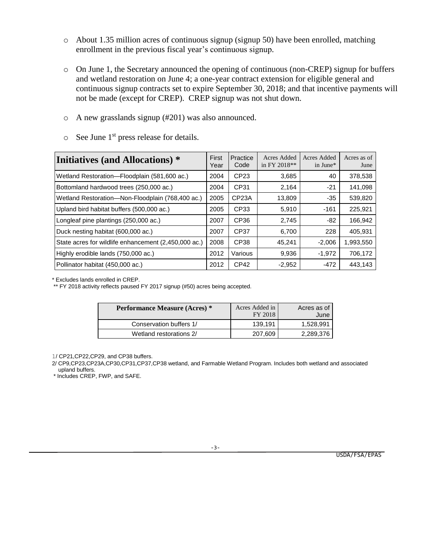- o About 1.35 million acres of continuous signup (signup 50) have been enrolled, matching enrollment in the previous fiscal year's continuous signup.
- o On June 1, the Secretary announced the opening of continuous (non-CREP) signup for buffers and wetland restoration on June 4; a one-year contract extension for eligible general and continuous signup contracts set to expire September 30, 2018; and that incentive payments will not be made (except for CREP). CREP signup was not shut down.
- o A new grasslands signup (#201) was also announced.
- $\circ$  See June 1<sup>st</sup> press release for details.

| Initiatives (and Allocations) *                      | First<br>Year | Practice<br>Code   | Acres Added<br>in FY 2018** | Acres Added<br>in June* | Acres as of<br>June |
|------------------------------------------------------|---------------|--------------------|-----------------------------|-------------------------|---------------------|
| Wetland Restoration-Floodplain (581,600 ac.)         | 2004          | CP <sub>23</sub>   | 3,685                       | 40                      | 378,538             |
| Bottomland hardwood trees (250,000 ac.)              | 2004          | CP31               | 2,164                       | $-21$                   | 141.098             |
| Wetland Restoration-Non-Floodplain (768,400 ac.)     | 2005          | CP <sub>23</sub> A | 13,809                      | $-35$                   | 539,820             |
| Upland bird habitat buffers (500,000 ac.)            | 2005          | CP33               | 5,910                       | $-161$                  | 225,921             |
| Longleaf pine plantings (250,000 ac.)                | 2007          | CP <sub>36</sub>   | 2,745                       | $-82$                   | 166,942             |
| Duck nesting habitat (600,000 ac.)                   | 2007          | CP37               | 6,700                       | 228                     | 405.931             |
| State acres for wildlife enhancement (2,450,000 ac.) | 2008          | CP38               | 45,241                      | $-2,006$                | 1,993,550           |
| Highly erodible lands (750,000 ac.)                  | 2012          | Various            | 9,936                       | $-1.972$                | 706.172             |
| Pollinator habitat (450,000 ac.)                     | 2012          | CP <sub>42</sub>   | $-2,952$                    | $-472$                  | 443,143             |

\* Excludes lands enrolled in CREP.

\*\* FY 2018 activity reflects paused FY 2017 signup (#50) acres being accepted.

| <b>Performance Measure (Acres) *</b> | Acres Added in<br>FY 2018 | Acres as of<br>June |  |  |
|--------------------------------------|---------------------------|---------------------|--|--|
| Conservation buffers 1/              | 139.191                   | 1,528,991           |  |  |
| Wetland restorations 2/              | 207,609                   | 2,289,376           |  |  |

1/ CP21,CP22,CP29, and CP38 buffers.

 2/ CP9,CP23,CP23A,CP30,CP31,CP37,CP38 wetland, and Farmable Wetland Program. Includes both wetland and associated upland buffers.

\* Includes CREP, FWP, and SAFE.

-3-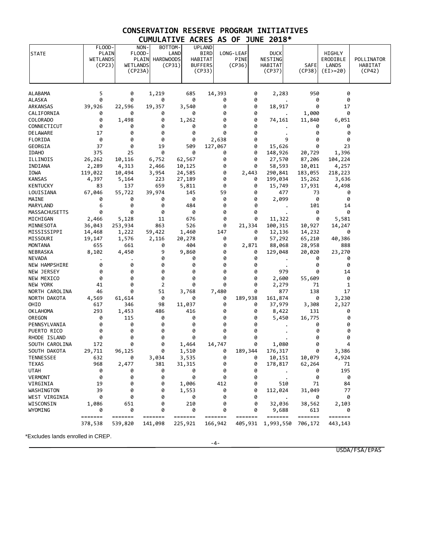## **CONSERVATION RESERVE PROGRAM INITIATIVES CUMULATIVE ACRES AS OF JUNE 2018\***

| <b>STATE</b>               | FLOOD-<br>PLAIN<br><b>WETLANDS</b><br>(CP23) | WETLANDS           | NON-<br>FLOOD-<br>PLAIN<br><b>HARDWOODS</b><br>(CP23A) | BOTTOM-<br>LAND<br>(CP31)  | <b>UPLAND</b><br><b>BIRD</b><br>HABITAT<br><b>BUFFERS</b><br>(CP33) | LONG-LEAF | <b>PINE</b><br>(CP36)                                                       |        | <b>DUCK</b><br>NESTING<br>HABITAT<br>(CP37) | <b>SAFE</b><br>(CP38) | HIGHLY<br>ERODIBLE<br>LANDS<br>$(EI) = 20$ | POLLINATOR<br>HABITAT<br>(CP42) |
|----------------------------|----------------------------------------------|--------------------|--------------------------------------------------------|----------------------------|---------------------------------------------------------------------|-----------|-----------------------------------------------------------------------------|--------|---------------------------------------------|-----------------------|--------------------------------------------|---------------------------------|
| ALABAMA                    | 5                                            | 0                  | 1,219                                                  | 685                        | 14,393                                                              |           |                                                                             | 0      | 2,283                                       | 950                   | 0                                          |                                 |
| ALASKA                     | 0                                            | 0                  | 0                                                      | 0                          |                                                                     | 0         |                                                                             | 0      |                                             | 0                     | 0                                          |                                 |
| ARKANSAS                   | 39,926                                       | 22,596             | 19,357                                                 | 3,540                      |                                                                     | 0         |                                                                             | 0      | 18,917                                      | 0                     | 17                                         |                                 |
| CALIFORNIA                 | 0                                            | 0                  | 0                                                      | 0                          |                                                                     | 0         |                                                                             | 0      |                                             | 1,000                 | 0                                          |                                 |
| COLORADO                   | 0                                            | 1,498              | 0                                                      | 1,262                      |                                                                     | 0         |                                                                             | 0      | 74,161                                      | 11,840                | 6,051                                      |                                 |
| CONNECTICUT                | 0                                            | 0                  | 0                                                      | 0                          |                                                                     | 0         |                                                                             | 0      |                                             | 0                     | 0                                          |                                 |
| DELAWARE                   | 17                                           | 0                  | 0                                                      | 0                          |                                                                     | 0         |                                                                             | 0      |                                             | 0                     | 0                                          |                                 |
| FLORIDA                    | 0                                            | 0                  | 0                                                      | 0                          | 2,638                                                               |           |                                                                             | 0      | 9                                           | 0                     | 0                                          |                                 |
| GEORGIA                    | 37                                           | 0                  | 19                                                     | 509                        | 127,067                                                             |           |                                                                             | 0      | 15,626                                      | 0                     | 23                                         |                                 |
| <b>IDAHO</b>               | 375                                          | 25                 | 0                                                      | 0                          |                                                                     | 0<br>0    |                                                                             | 0<br>0 | 148,926                                     | 20,729                | 1,396                                      |                                 |
| ILLINOIS<br>INDIANA        | 26,262                                       | 10,116             | 6,752                                                  | 62,567                     |                                                                     | 0         |                                                                             | 0      | 27,570                                      | 87,206                | 104,224                                    |                                 |
| IOWA                       | 2,289<br>119,022                             | 4,313<br>10,494    | 2,466<br>3,954                                         | 10,125<br>24,585           |                                                                     | 0         | 2,443                                                                       |        | 58,593<br>290,841                           | 10,011<br>183,055     | 4,257<br>218,223                           |                                 |
| <b>KANSAS</b>              | 4,397                                        | 5,164              | 223                                                    | 27,189                     |                                                                     | 0         |                                                                             | 0      | 199,034                                     | 15,262                | 3,636                                      |                                 |
| <b>KENTUCKY</b>            | 83                                           | 137                | 659                                                    | 5,811                      |                                                                     | 0         |                                                                             | 0      | 15,749                                      | 17,931                | 4,498                                      |                                 |
| LOUISIANA                  | 67,046                                       | 55,722             | 39,974                                                 | 145                        |                                                                     | 59        |                                                                             | 0      | 477                                         | 73                    | 0                                          |                                 |
| MAINE                      | 0                                            | 0                  | 0                                                      | 0                          |                                                                     | 0         |                                                                             | 0      | 2,099                                       | 0                     | 0                                          |                                 |
| MARYLAND                   | 6                                            | 0                  | 0                                                      | 484                        |                                                                     | 0         |                                                                             | 0      |                                             | 101                   | 14                                         |                                 |
| MASSACHUSETTS              | 0                                            | 0                  | 0                                                      | 0                          |                                                                     | 0         |                                                                             | 0      |                                             | 0                     | 0                                          |                                 |
| MICHIGAN                   | 2,466                                        | 5,128              | 11                                                     | 676                        |                                                                     | 0         |                                                                             | 0      | 11,322                                      | 0                     | 5,581                                      |                                 |
| MINNESOTA                  | 36,043                                       | 253,934            | 863                                                    | 526                        |                                                                     | 0         | 21,334                                                                      |        | 100,315                                     | 10,927                | 14,247                                     |                                 |
| MISSISSIPPI                | 14,468                                       | 1,222              | 59,422                                                 | 1,460                      |                                                                     | 147       |                                                                             | 0      | 12,136                                      | 14,232                | 0                                          |                                 |
| MISSOURI                   | 19,147                                       | 1,576              | 2,116                                                  | 20,278                     |                                                                     | 0         |                                                                             | 0      | 57,292                                      | 65,210                | 40,386                                     |                                 |
| <b>MONTANA</b>             | 655                                          | 661                | 0                                                      | 404                        |                                                                     | 0         | 2,871                                                                       |        | 88,068                                      | 28,958                | 888                                        |                                 |
| NEBRASKA                   | 8,102                                        | 4,450              | 9                                                      | 9,860                      |                                                                     | 0         |                                                                             | 0      | 129,048                                     | 20,020                | 23,270                                     |                                 |
| <b>NEVADA</b>              |                                              |                    | 0                                                      | 0                          |                                                                     | 0         |                                                                             | 0      |                                             | 0                     | 0                                          |                                 |
| NEW HAMPSHIRE              | 0                                            | 0                  | 0                                                      | 0                          |                                                                     | 0         |                                                                             | 0      |                                             | 0                     | 0                                          |                                 |
| NEW JERSEY                 | 0                                            | 0                  | 0                                                      | 0                          |                                                                     | 0         |                                                                             | 0      | 979                                         | 0                     | 14                                         |                                 |
| NEW MEXICO                 | 0<br>41                                      | 0<br>0             | 0<br>2                                                 | 0<br>0                     |                                                                     | 0<br>0    |                                                                             | 0<br>0 | 2,600                                       | 55,609<br>71          | 0                                          |                                 |
| NEW YORK<br>NORTH CAROLINA | 46                                           | 0                  | 51                                                     | 3,768                      | 7,480                                                               |           |                                                                             | 0      | 2,279<br>877                                | 138                   | 1<br>17                                    |                                 |
| NORTH DAKOTA               | 4,569                                        | 61,614             | 0                                                      | 0                          |                                                                     | 0         | 189,938                                                                     |        | 161,874                                     | 0                     | 3,230                                      |                                 |
| OHIO                       | 617                                          | 346                | 98                                                     | 11,037                     |                                                                     | 0         |                                                                             | 0      | 37,979                                      | 3,308                 | 2,327                                      |                                 |
| <b>OKLAHOMA</b>            | 293                                          | 1,453              | 486                                                    | 416                        |                                                                     | 0         |                                                                             | 0      | 8,422                                       | 131                   | 0                                          |                                 |
| OREGON                     | 0                                            | 115                | 0                                                      | 0                          |                                                                     | 0         |                                                                             | 0      | 5,450                                       | 16,775                | 0                                          |                                 |
| PENNSYLVANIA               | 0                                            | 0                  | 0                                                      | 0                          |                                                                     | 0         |                                                                             | 0      |                                             | 0                     | 0                                          |                                 |
| PUERTO RICO                | 0                                            | 0                  | 0                                                      | 0                          |                                                                     | 0         |                                                                             | 0      |                                             | 0                     | 0                                          |                                 |
| RHODE ISLAND               | 0                                            | 0                  | 0                                                      | 0                          |                                                                     | 0         |                                                                             | 0      |                                             | 0                     | 0                                          |                                 |
| SOUTH CAROLINA             | 172                                          | 0                  | 0                                                      | 1,464                      | 14,747                                                              |           |                                                                             | 0      | 1,080                                       | 0                     | 4                                          |                                 |
| SOUTH DAKOTA               | 29,711                                       | 96,125             | 0                                                      | 1,510                      |                                                                     | 0         | 189,344                                                                     |        | 176,317                                     | 0                     | 3,386                                      |                                 |
| TENNESSEE                  | 632                                          | 0                  | 3,034                                                  | 3,535                      |                                                                     | 0         |                                                                             | 0      | 10,151                                      | 10,079                | 4,924                                      |                                 |
| <b>TEXAS</b>               | 968                                          | 2,477              | 381                                                    | 31,315                     |                                                                     | 0         |                                                                             | 0      | 178,817                                     | 62,264                | 71                                         |                                 |
| <b>UTAH</b>                | 0                                            | 0                  | 0                                                      | 0                          |                                                                     | 0         |                                                                             | 0      |                                             | 0                     | 195                                        |                                 |
| <b>VERMONT</b>             | 0                                            | 0                  | 0                                                      | 0                          |                                                                     | 0         |                                                                             | 0      |                                             | 0                     | 0                                          |                                 |
| VIRGINIA                   | 19                                           | 0                  | 0                                                      | 1,006                      |                                                                     | 412       |                                                                             | 0      | 510                                         | 71                    | 84                                         |                                 |
| WASHINGTON                 | 39                                           | 0                  | 0                                                      | 1,553                      |                                                                     | 0         |                                                                             | 0      | 112,024                                     | 31,049                | 77                                         |                                 |
| WEST VIRGINIA              | 0                                            | 0                  | 0                                                      | 0                          |                                                                     | 0         |                                                                             | 0      |                                             | 0                     | 0                                          |                                 |
| WISCONSIN                  | 1,086                                        | 651                | 0                                                      | 210                        |                                                                     | 0         |                                                                             | 0      | 32,036                                      | 38,562                | 2,103                                      |                                 |
| WYOMING                    | 0                                            | 0                  | 0                                                      | 0                          |                                                                     | 0         |                                                                             | 0      | 9,688                                       | 613                   | 0                                          |                                 |
|                            | =======<br>378,538                           | =======<br>539,820 | =======<br>141,098                                     | $=$ = = = = = =<br>225,921 | =======<br>166,942                                                  |           | $\qquad \qquad \equiv \equiv \equiv \equiv \equiv \equiv \equiv$<br>405,931 |        | =======<br>1,993,550                        | =======<br>706,172    | =======<br>443,143                         |                                 |

-4-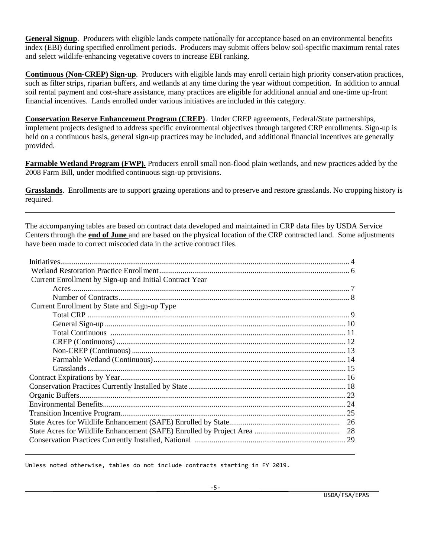**General Signup**. Producers with eligible lands compete nationally for acceptance based on an environmental benefits index (EBI) during specified enrollment periods. Producers may submit offers below soil-specific maximum rental rates and select wildlife-enhancing vegetative covers to increase EBI ranking.

**Continuous (Non-CREP) Sign-up**. Producers with eligible lands may enroll certain high priority conservation practices, such as filter strips, riparian buffers, and wetlands at any time during the year without competition. In addition to annual soil rental payment and cost-share assistance, many practices are eligible for additional annual and one-time up-front financial incentives. Lands enrolled under various initiatives are included in this category.

**Conservation Reserve Enhancement Program (CREP)**. Under CREP agreements, Federal/State partnerships, implement projects designed to address specific environmental objectives through targeted CRP enrollments. Sign-up is held on a continuous basis, general sign-up practices may be included, and additional financial incentives are generally provided.

**Farmable Wetland Program (FWP).** Producers enroll small non-flood plain wetlands, and new practices added by the 2008 Farm Bill, under modified continuous sign-up provisions.

**Grasslands**. Enrollments are to support grazing operations and to preserve and restore grasslands. No cropping history is required.

The accompanying tables are based on contract data developed and maintained in CRP data files by USDA Service Centers through the **end of June** and are based on the physical location of the CRP contracted land. Some adjustments have been made to correct miscoded data in the active contract files.

| Current Enrollment by Sign-up and Initial Contract Year |  |
|---------------------------------------------------------|--|
|                                                         |  |
|                                                         |  |
| Current Enrollment by State and Sign-up Type            |  |
|                                                         |  |
|                                                         |  |
|                                                         |  |
|                                                         |  |
|                                                         |  |
|                                                         |  |
|                                                         |  |
|                                                         |  |
|                                                         |  |
|                                                         |  |
|                                                         |  |
|                                                         |  |
|                                                         |  |
|                                                         |  |
|                                                         |  |

Unless noted otherwise, tables do not include contracts starting in FY 2019.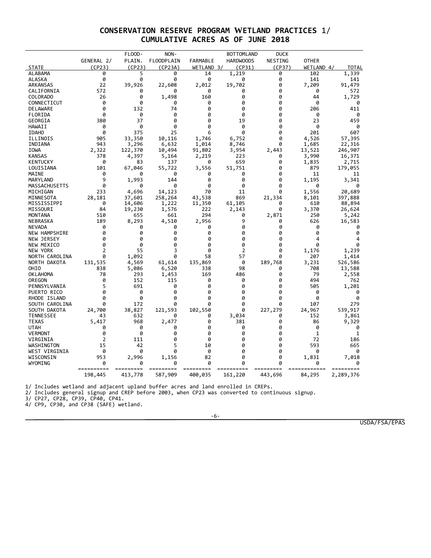## **CONSERVATION RESERVE PROGRAM WETLAND PRACTICES** 1/ **CUMULATIVE ACRES AS OF JUNE 2018**

|                      |                | FLOOD-  | NON-              |                 | <b>BOTTOMLAND</b> | <b>DUCK</b> |              |           |
|----------------------|----------------|---------|-------------------|-----------------|-------------------|-------------|--------------|-----------|
|                      | GENERAL 2/     | PLAIN.  | <b>FLOODPLAIN</b> | <b>FARMABLE</b> | <b>HARDWOODS</b>  | NESTING     | <b>OTHER</b> |           |
| <b>STATE</b>         | (CP23)         | (CP23)  | (CP23A)           | WETLAND 3/      | (CP31)            | (CP37)      | WETLAND 4/   | TOTAL     |
| <b>ALABAMA</b>       | 0              | 5       | 0                 | 14              | 1,219             | 0           | 102          | 1,339     |
| ALASKA               | 0              | 0       | 0                 | 0               | 0                 | 0           | 141          | 141       |
| ARKANSAS             | 22             | 39,926  | 22,608            | 2,012           | 19,702            | 0           | 7,209        | 91,479    |
| CALIFORNIA           | 572            | 0       | a                 | 0               | 0                 | 0           | 0            | 572       |
| COLORADO             | 26             | 0       | 1,498             | 160             | 0                 | 0           | 44           | 1,729     |
| CONNECTICUT          | 0              | 0       | 0                 | 0               | 0                 | 0           | 0            | 0         |
| <b>DELAWARE</b>      | 0              | 132     | 74                | 0               | ø                 | 0           | 206          | 411       |
| FLORIDA              | 0              | 0       | 0                 | 0               | 0                 | 0           | 0            | 0         |
| GEORGIA              | 380            | 37      | 0                 | 0               | 19                | 0           | 23           | 459       |
| HAWAII               | 0              | 0       | 0                 | 0               | 0                 | 0           | 0            | 0         |
| <b>IDAHO</b>         | 0              | 375     | 25                | 6               | 0                 | 0           | 201          | 607       |
| ILLINOIS             | 905            | 33,350  | 10,116            | 1,746           | 6,752             | 0           | 4,526        | 57,395    |
| INDIANA              | 943            | 3,296   | 6,632             | 1,014           | 8,746             | 0           | 1,685        | 22,316    |
| <b>IOWA</b>          | 2,322          | 122,370 | 10,494            | 91,802          | 3,954             | 2,443       | 13,521       | 246,907   |
| <b>KANSAS</b>        | 378            | 4,397   | 5,164             | 2,219           | 223               | 0           | 3,990        | 16,371    |
| <b>KENTUCKY</b>      | 0              | 83      | 137               | 0               | 659               | 0           | 1,835        | 2,715     |
| LOUISIANA            | 101            | 67,046  | 55,722            | 3,556           | 51,751            | 0           | 879          | 179,055   |
| MAINE                | 0              | ø       | 0                 | 0               | 0                 | 0           | 11           | 11        |
| MARYLAND             | 9              | 1,993   | 144               | 0               | 0                 | 0           | 1,195        | 3,341     |
| MASSACHUSETTS        | 0              | 0       | 0                 | 0               | 0                 | 0           | 0            |           |
| MICHIGAN             | 233            | 4,696   | 14,123            | 70              | 11                | 0           | 1,556        | 20,689    |
| MINNESOTA            | 28,181         | 37,601  | 258,264           | 43,538          | 869               | 21,334      | 8,101        | 397,888   |
| MISSISSIPPI          | 0              | 14,606  | 1,222             | 11,350          | 61,105            | 0           | 610          | 88,894    |
| MISSOURI             | 84             | 19,230  | 1,576             | 222             | 2,143             | 0           | 3,370        | 26,624    |
| <b>MONTANA</b>       | 510            | 655     | 661               | 294             | 0                 | 2,871       | 250          | 5,242     |
| NEBRASKA             | 189            | 8,293   | 4,510             | 2,956           | 9                 | 0           | 626          | 16,583    |
| <b>NEVADA</b>        | 0              | 0       | 0                 | 0               | 0                 | 0           | 0            | 0         |
| <b>NEW HAMPSHIRE</b> | 0              | 0       | 0                 | 0               | 0                 | 0           | 0            | 0         |
| NEW JERSEY           | 0              | 0       | 0                 | 0               | 0                 | 0           | 4            | 4         |
| NEW MEXICO           | 0              | 0       | 0                 | 0               | 0                 | 0           | 0            | 0         |
| <b>NEW YORK</b>      | 2              | 55      | 3                 | ø               | 2                 | 0           | 1,176        | 1,239     |
| NORTH CAROLINA       | 0              | 1,092   | 0                 | 58              | 57                | 0           | 207          | 1,414     |
| NORTH DAKOTA         | 131,535        | 4,569   | 61,614            | 135,869         | 0                 | 189,768     | 3,231        | 526,586   |
| OHIO                 | 838            | 5,086   | 6,520             | 338             | 98                | 0           | 708          | 13,588    |
| <b>OK LAHOMA</b>     | 78             | 293     | 1,453             | 169             | 486               | 0           | 79           | 2,558     |
| OREGON               | 0              | 152     | 115               | 0               | 0                 | 0           | 494          | 762       |
| PENNSYLVANIA         | 5              | 691     | 0                 | 0               | ø                 | 0           | 505          | 1,201     |
| PUERTO RICO          | 0              | 0       | 0                 | 0               | 0                 | 0           | 0            | 0         |
| RHODE ISLAND         | 0              | 0       | 0                 | 0               | 0                 | 0           | 0            | 0         |
|                      | 0              |         | 0                 | 0               | 0                 | 0           | 107          |           |
| SOUTH CAROLINA       |                | 172     |                   |                 | 0                 |             |              | 279       |
| SOUTH DAKOTA         | 24,700         | 38,827  | 121,593           | 102,550         |                   | 227,279     | 24,967       | 539,917   |
| <b>TENNESSEE</b>     | 43             | 632     | ø                 | 0               | 3,034             | 0           | 152          | 3,861     |
| TEXAS                | 5,417          | 968     | 2,477             | 0               | 381               | 0           | 86           | 9,329     |
| <b>UTAH</b>          | 0              | 0       | 0                 | 0               | 0                 | 0           | 0            | 0         |
| <b>VERMONT</b>       | 0              | 0       | 0                 | 0               | 0                 | 0           | 1            | 1         |
| VIRGINIA             | $\overline{2}$ | 111     | 0                 | 0               | 0                 | 0           | 72           | 186       |
| WASHINGTON           | 15             | 42      | 5                 | 10              | 0                 | 0           | 593          | 665       |
| WEST VIRGINIA        | 0              | 0       | 0                 | 0               | 0                 | 0           | 0            | 0         |
| WISCONSIN            | 953            | 2,996   | 1,156             | 82              | 0                 | 0           | 1,831        | 7,018     |
| WYOMING              | 0              |         | 0                 | a               |                   | Ø           | a            |           |
|                      | 198,445        | 413,778 | 587,909           | 400,035         | 161,220           | 443,696     | 84,295       | 2,289,376 |
|                      |                |         |                   |                 |                   |             |              |           |

1/ Includes wetland and adjacent upland buffer acres and land enrolled in CREPs.

2/ Includes general signup and CREP before 2003, when CP23 was converted to continuous signup.

3/ CP27, CP28, CP39, CP40, CP41.

4/ CP9, CP30, and CP38 (SAFE) wetland.

-6-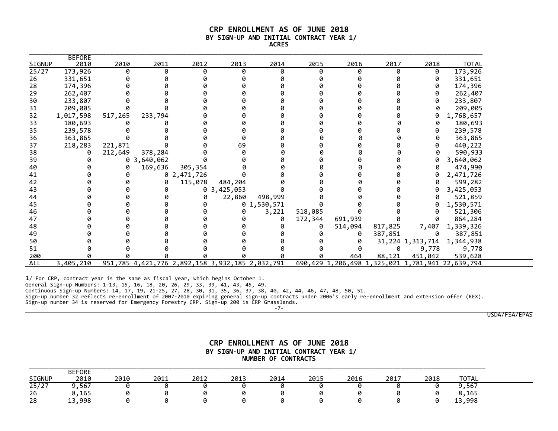#### **CRP ENROLLMENT AS OF JUNE 2018 BY SIGN-UP AND INITIAL CONTRACT YEAR 1/ ACRES**

| SIGNUP     | <b>BEFORE</b><br>2010 | 2010    | 2011                                            | 2012        | 2013      | 2014        | 2015    | 2016    | 2017    | 2018             | <b>TOTAL</b>                                     |
|------------|-----------------------|---------|-------------------------------------------------|-------------|-----------|-------------|---------|---------|---------|------------------|--------------------------------------------------|
| 25/27      | 173,926               | 0       | 0                                               | Ø           | ø         | ø           | 0       | ø       | 0       | 0                | 173,926                                          |
| 26         | 331,651               |         |                                                 |             |           |             |         |         | ø       | 0                | 331,651                                          |
| 28         | 174,396               |         |                                                 |             |           |             |         |         |         | 0                | 174,396                                          |
| 29         | 262,407               |         |                                                 |             |           |             |         |         |         | 0                | 262,407                                          |
| 30         | 233,807               |         |                                                 |             |           |             |         |         |         | 0                | 233,807                                          |
| 31         | 209,005               |         |                                                 |             |           |             |         |         |         | 0                | 209,005                                          |
| 32         | 1,017,598             | 517,265 | 233,794                                         |             |           |             |         |         |         | 0                | 1,768,657                                        |
| 33         | 180,693               |         |                                                 |             |           |             |         |         |         | 0                | 180,693                                          |
| 35         | 239,578               |         |                                                 |             |           |             |         |         |         | 0                | 239,578                                          |
| 36         | 363,865               |         |                                                 |             |           |             |         |         |         | 0                | 363,865                                          |
| 37         | 218,283               | 221,871 |                                                 |             | 69        |             |         |         |         | 0                | 440,222                                          |
| 38         |                       | 212,649 | 378,284                                         |             |           |             |         |         |         | 0                | 590,933                                          |
| 39         |                       | 0       | 3,640,062                                       |             |           |             |         |         |         | 0                | 3,640,062                                        |
| 40         |                       | 0       | 169,636                                         | 305,354     |           |             |         |         |         |                  | 474,990                                          |
| 41         |                       | ø       |                                                 | 0 2,471,726 |           |             |         |         | ø       | 0                | 2,471,726                                        |
| 42         |                       |         |                                                 | 115,078     | 484,204   |             |         |         |         | 0                | 599,282                                          |
| 43         |                       |         |                                                 | 0           | 3,425,053 |             |         |         | ø       | 0                | 3,425,053                                        |
| 44         |                       |         |                                                 |             | 22,860    | 498,999     |         |         |         | 0                | 521,859                                          |
| 45         |                       |         |                                                 |             |           | 0 1,530,571 |         |         | ø       | 0                | 1,530,571                                        |
| 46         |                       |         |                                                 |             |           | 3,221       | 518,085 |         |         | 0                | 521,306                                          |
| 47         |                       |         |                                                 |             |           |             | 172,344 | 691,939 | ø       | 0                | 864,284                                          |
| 48         |                       |         |                                                 |             |           |             |         | 514,094 | 817,825 | 7,407            | 1,339,326                                        |
| 49         |                       |         |                                                 |             |           |             |         | ø       | 387,851 | 0                | 387,851                                          |
| 50         |                       |         |                                                 |             |           |             |         |         |         | 31,224 1,313,714 | 1,344,938                                        |
| 51         |                       |         |                                                 |             |           |             |         |         | 0       | 9,778            | 9,778                                            |
| 200        |                       |         |                                                 |             |           |             |         | 464     | 88,121  | 451,042          | 539,628                                          |
| <b>ALL</b> | 3,405,210             |         | 951,785 4,421,776 2,892,158 3,932,185 2,032,791 |             |           |             |         |         |         |                  | 690,429 1,206,498 1,325,021 1,781,941 22,639,794 |

1/ For CRP, contract year is the same as fiscal year, which begins October 1.

General Sign-up Numbers: 1-13, 15, 16, 18, 20, 26, 29, 33, 39, 41, 43, 45, 49.

Continuous Sign-up Numbers: 14, 17, 19, 21-25, 27, 28, 30, 31, 35, 36, 37, 38, 40, 42, 44, 46, 47, 48, 50, 51.

Sign-up number 32 reflects re-enrollment of 2007-2010 expiring general sign-up contracts under 2006's early re-enrollment and extension offer (REX).

Sign-up number 34 is reserved for Emergency Forestry CRP. Sign-up 200 is CRP Grasslands.

-7-

USDA/FSA/EPAS

#### **CRP ENROLLMENT AS OF JUNE 2018 BY SIGN-UP AND INITIAL CONTRACT YEAR 1/ NUMBER OF CONTRACTS**

|                | <b>BEFORE</b> |      |      |      |      |      |      |      |      |      |            |
|----------------|---------------|------|------|------|------|------|------|------|------|------|------------|
| <b>SIGNUP</b>  | 2010          | 2010 | 2011 | 2012 | 2013 | 2014 | 2015 | 2016 | 2017 | 2018 | "OTAL      |
| $\sqrt{25/27}$ | 3,567         |      |      |      |      |      |      |      |      |      | ,567       |
| 26             | ,165          |      |      |      |      |      |      |      |      |      | ,165       |
| 28             | ,998<br>1 ว   |      |      |      |      |      |      |      |      |      | ,998<br>-- |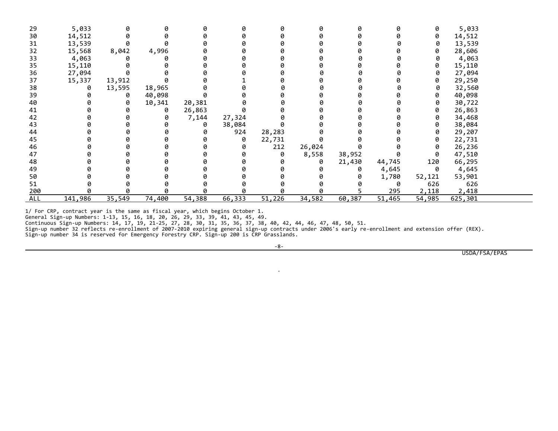| 29  | 5,033   | 0      | 0      |        |        | ø      | ø      |        |        | 0      | 5,033   |  |
|-----|---------|--------|--------|--------|--------|--------|--------|--------|--------|--------|---------|--|
| 30  | 14,512  |        |        |        |        |        |        |        |        | 0      | 14,512  |  |
| 31  | 13,539  |        |        |        |        |        |        |        |        | 0      | 13,539  |  |
| 32  | 15,568  | 8,042  | 4,996  |        |        |        |        |        |        | 0      | 28,606  |  |
| 33  | 4,063   | ø      |        |        |        |        |        | ø      |        | 0      | 4,063   |  |
| 35  | 15,110  | 0      |        |        |        |        |        |        |        | 0      | 15,110  |  |
| 36  | 27,094  |        |        |        |        |        |        |        |        | 0      | 27,094  |  |
| 37  | 15,337  | 13,912 |        |        |        |        |        |        |        | 0      | 29,250  |  |
| 38  | 0       | 13,595 | 18,965 |        |        |        |        |        |        |        | 32,560  |  |
| 39  |         | 0      | 40,098 |        |        |        |        |        |        | 0      | 40,098  |  |
| 40  |         | 0      | 10,341 | 20,381 |        |        |        |        |        | 0      | 30,722  |  |
| 41  |         | ø      | 0      | 26,863 |        |        |        |        |        | 0      | 26,863  |  |
| 42  |         | ø      | 0      | 7,144  | 27,324 |        |        | 0      |        | 0      | 34,468  |  |
| 43  |         |        |        | 0      | 38,084 |        |        |        |        | 0      | 38,084  |  |
| 44  |         | ø      |        |        | 924    | 28,283 |        |        |        | 0      | 29,207  |  |
| 45  |         |        |        |        | ø      | 22,731 |        |        |        | 0      | 22,731  |  |
| 46  |         |        |        |        | Ø      | 212    | 26,024 |        |        | 0      | 26,236  |  |
| 47  |         |        |        |        |        | 0      | 8,558  | 38,952 |        | 0      | 47,510  |  |
| 48  |         |        |        |        |        |        | 0      | 21,430 | 44,745 | 120    | 66,295  |  |
| 49  |         |        |        |        |        |        |        | 0      | 4,645  | 0      | 4,645   |  |
| 50  |         |        |        |        |        |        |        | 0      | 1,780  | 52,121 | 53,901  |  |
| 51  |         |        |        |        |        |        |        |        | 0      | 626    | 626     |  |
| 200 |         |        | ø      |        |        |        | ø      |        | 295    | 2,118  | 2,418   |  |
| ALL | 141,986 | 35,549 | 74,400 | 54,388 | 66,333 | 51,226 | 34,582 | 60,387 | 51,465 | 54,985 | 625,301 |  |

1/ For CRP, contract year is the same as fiscal year, which begins October 1.

General Sign-up Numbers: 1-13, 15, 16, 18, 20, 26, 29, 33, 39, 41, 43, 45, 49.

Continuous Sign-up Numbers: 14, 17, 19, 21-25, 27, 28, 30, 31, 35, 36, 37, 38, 40, 42, 44, 46, 47, 48, 50, 51.

Sign-up number 32 reflects re-enrollment of 2007-2010 expiring general sign-up contracts under 2006's early re-enrollment and extension offer (REX). Sign-up number 34 is reserved for Emergency Forestry CRP. Sign-up 200 is CRP Grasslands.

-8-

.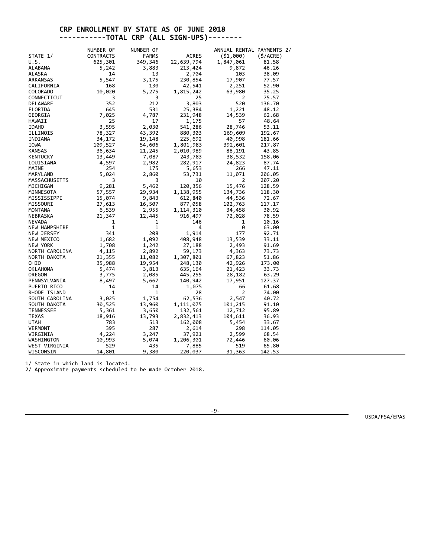### **CRP ENROLLMENT BY STATE AS OF JUNE 2018 -----------TOTAL CRP (ALL SIGN-UPS)--------**

|                          | NUMBER OF        | NUMBER OF       |                    | ANNUAL RENTAL PAYMENTS 2/ |              |
|--------------------------|------------------|-----------------|--------------------|---------------------------|--------------|
| <b>STATE 1/</b>          | <b>CONTRACTS</b> | <b>FARMS</b>    | <b>ACRES</b>       | ( \$1,000)                | $($ \$/ACRE) |
| U.S.                     | 625,301          | 349,346         | 22,639,794         | 1,847,061                 | 81.58        |
| <b>ALABAMA</b>           | 5,242            | 3,883           | 213,424            | 9,872                     | 46.26        |
| ALASKA                   | 14               | 13              | 2,704              | 103                       | 38.09        |
| ARKANSAS                 | 5,547            | 3,175           | 230,854            | 17,907                    | 77.57        |
| CALIFORNIA               | 168              | 130             | 42,541             | 2,251                     | 52.90        |
| <b>COLORADO</b>          | 10,020           | 5,275           | 1,815,242          | 63,980                    | 35.25        |
| CONNECTICUT              | 3                | 3               | 25                 | 2                         | 75.57        |
| <b>DELAWARE</b>          | 352              | 212             | 3,803              | 520                       | 136.70       |
| FLORIDA                  | 645              | 531             | 25,384             | 1,221                     | 48.12        |
| GEORGIA                  | 7,025            | 4,787           | 231,948            | 14,539                    | 62.68        |
| HAWAII                   | 25               | 17              | 1,175              | 57                        | 48.64        |
| <b>IDAHO</b>             | 3,595            | 2,030           | 541,286            | 28,746                    | 53.11        |
| ILLINOIS                 | 78,327           | 43,392          | 880,303            | 169,609                   | 192.67       |
| INDIANA                  | 34,172           | 19,148          | 225,692            | 40,998                    | 181.66       |
| <b>IOWA</b>              | 109,527          | 54,606          | 1,801,983          | 392,601                   | 217.87       |
| <b>KANSAS</b>            | 36,634           | 21,245          | 2,010,989          | 88,191                    | 43.85        |
| <b>KENTUCKY</b>          | 13,449           | 7,087           | 243,783            | 38,532                    | 158.06       |
| LOUISIANA                | 4,597            | 2,982           | 282,917            | 24,823                    | 87.74        |
| MAINE                    | 254              | 175             |                    | 266                       | 47.11        |
| MARYLAND                 | 5,024            | 2,860           | 5,653<br>53,731    | 11,071                    | 206.05       |
| MASSACHUSETTS            | 3                | 3               | 10                 | 2                         | 207.20       |
|                          | 9,281            | 5,462           | 120,356            | 15,476                    | 128.59       |
| MICHIGAN                 |                  |                 |                    |                           | 118.30       |
| MINNESOTA<br>MISSISSIPPI | 57,557           | 29,934          | 1,138,955          | 134,736                   | 72.67        |
| MISSOURI                 | 15,074<br>27,613 | 9,843<br>16,507 | 612,840<br>877,058 | 44,536<br>102,763         | 117.17       |
| <b>MONTANA</b>           | 6,539            | 2,955           | 1,114,310          | 34,458                    | 30.92        |
| NEBRASKA                 | 21,347           | 12,445          | 916,497            | 72,028                    | 78.59        |
| <b>NEVADA</b>            | 1                | 1               | 146                | 1                         | 10.16        |
| <b>NEW HAMPSHIRE</b>     | $\mathbf{1}$     | $\mathbf{1}$    | 4                  | 0                         | 63.00        |
| NEW JERSEY               | 341              | 208             | 1,914              | 177                       | 92.71        |
|                          | 1,682            | 1,092           |                    | 13,539                    |              |
| NEW MEXICO               |                  |                 | 408,948            |                           | 33.11        |
| NEW YORK                 | 1,708            | 1,242           | 27,188             | 2,493                     | 91.69        |
| NORTH CAROLINA           | 4,115            | 2,892           | 59,173             | 4,363                     | 73.73        |
| NORTH DAKOTA             | 21,355           | 11,082          | 1,307,801          | 67,823                    | 51.86        |
| OHIO                     | 35,988           | 19,954          | 248,130            | 42,926                    | 173.00       |
| <b>OKLAHOMA</b>          | 5,474            | 3,813           | 635,164            | 21,423                    | 33.73        |
| OREGON                   | 3,775            | 2,085           | 445,255            | 28,182                    | 63.29        |
| PENNSYLVANIA             | 8,497            | 5,667           | 140,942            | 17,951                    | 127.37       |
| PUERTO RICO              | 14               | 14              | 1,075              | 66                        | 61.68        |
| RHODE ISLAND             | 1                | 1               | 28                 | $\overline{2}$            | 74.00        |
| SOUTH CAROLINA           | 3,025            | 1,754           | 62,536             | 2,547                     | 40.72        |
| SOUTH DAKOTA             | 30,525           | 13,960          | 1,111,075          | 101,215                   | 91.10        |
| <b>TENNESSEE</b>         | 5,361            | 3,650           | 132,561            | 12,712                    | 95.89        |
| TEXAS                    | 18,916           | 13,793          | 2,832,413          | 104,611                   | 36.93        |
| UTAH                     | 783              | 513             | 162,008            | 5,454                     | 33.67        |
| <b>VERMONT</b>           | 395              | 287             | 2,614              | 298                       | 114.05       |
| VIRGINIA                 | 4,224            | 3,247           | 37,921             | 2,599                     | 68.54        |
| WASHINGTON               | 10,993           | 5,074           | 1,206,301          | 72,446                    | 60.06        |
| WEST VIRGINIA            | 529              | 435             | 7,885              | 519                       | 65.80        |
| WISCONSIN                | 14,801           | 9,380           | 220,037            | 31,363                    | 142.53       |

1/ State in which land is located.

2/ Approximate payments scheduled to be made October 2018.

-9-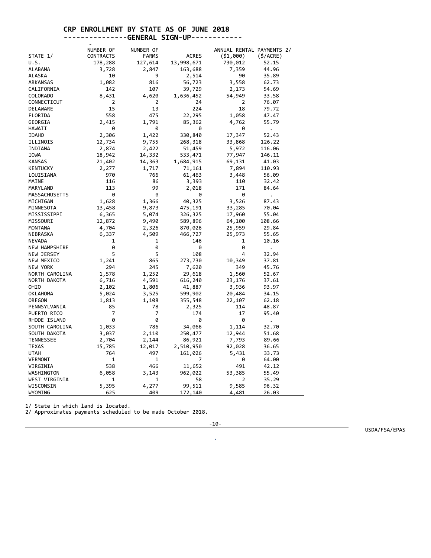## **CRP ENROLLMENT BY STATE AS OF JUNE 2018**

## **---------------GENERAL SIGN-UP------------**

| STATE 1/                  | NUMBER OF<br><b>CONTRACTS</b> | NUMBER OF        | <b>ACRES</b> | ANNUAL RENTAL PAYMENTS 2/<br>( \$1,000) |                       |
|---------------------------|-------------------------------|------------------|--------------|-----------------------------------------|-----------------------|
| U.S.                      | 178,288                       | FARMS<br>127,614 | 13,998,671   | 730,012                                 | $($ \$/ACRE)<br>52.15 |
| ALABAMA                   | 3,728                         | 2,847            | 163,688      | 7,359                                   | 44.96                 |
| ALASKA                    | 10                            | 9                | 2,514        | 90                                      | 35.89                 |
| ARKANSAS                  | 1,082                         | 816              | 56,723       | 3,558                                   | 62.73                 |
| CALIFORNIA                | 142                           | 107              | 39,729       | 2,173                                   | 54.69                 |
| COLORADO                  | 8,431                         | 4,620            | 1,636,452    | 54,949                                  | 33.58                 |
| CONNECTICUT               | 2                             | 2                | 24           | 2                                       | 76.07                 |
| DELAWARE                  | 15                            | 13               | 224          | 18                                      | 79.72                 |
| FLORIDA                   | 558                           | 475              | 22,295       | 1,058                                   | 47.47                 |
| GEORGIA                   | 2,415                         | 1,791            | 85,362       | 4,762                                   | 55.79                 |
| HAWAII                    | 0                             | 0                | 0            | 0                                       |                       |
| <b>IDAHO</b>              | 2,306                         | 1,422            | 330,840      | 17,347                                  | $\bullet$<br>52.43    |
| ILLINOIS                  | 12,734                        | 9,755            | 268,318      | 33,868                                  | 126.22                |
| INDIANA                   | 2,874                         | 2,422            | 51,459       | 5,972                                   | 116.06                |
| <b>IOWA</b>               | 18,942                        | 14,332           | 533,471      | 77,947                                  | 146.11                |
| <b>KANSAS</b>             | 21,402                        | 14,363           | 1,684,915    | 69,131                                  | 41.03                 |
| <b>KENTUCKY</b>           | 2,277                         | 1,717            | 71,161       | 7,894                                   | 110.93                |
| LOUISIANA                 | 970                           | 766              | 61,463       | 3,448                                   | 56.09                 |
| MAINE                     | 116                           | 86               |              | 110                                     |                       |
|                           | 113                           | 99               | 3,393        | 171                                     | 32.42                 |
| MARYLAND<br>MASSACHUSETTS | 0                             | 0                | 2,018<br>0   | 0                                       | 84.64                 |
| MICHIGAN                  | 1,628                         | 1,366            |              | 3,526                                   | $\ddot{\phantom{0}}$  |
|                           |                               |                  | 40,325       |                                         | 87.43                 |
| MINNESOTA                 | 13,458                        | 9,873            | 475,191      | 33,285                                  | 70.04                 |
| MISSISSIPPI               | 6,365                         | 5,074            | 326,325      | 17,960                                  | 55.04                 |
| MISSOURI                  | 12,872                        | 9,490            | 589,896      | 64,100                                  | 108.66                |
| <b>MONTANA</b>            | 4,704                         | 2,326            | 870,026      | 25,959                                  | 29.84                 |
| NEBRASKA                  | 6,337                         | 4,509            | 466,727      | 25,973                                  | 55.65                 |
| <b>NEVADA</b>             | 1<br>0                        | 1<br>0           | 146          | 1<br>0                                  | 10.16                 |
| NEW HAMPSHIRE             | 5                             | 5                | 0            | 4                                       | $\ddot{\phantom{0}}$  |
| NEW JERSEY                |                               |                  | 108          |                                         | 32.94                 |
| NEW MEXICO                | 1,241<br>294                  | 865<br>245       | 273,730      | 10,349                                  | 37.81                 |
| NEW YORK                  |                               |                  | 7,620        | 349                                     | 45.76                 |
| NORTH CAROLINA            | 1,578                         | 1,252            | 29,618       | 1,560                                   | 52.67                 |
| NORTH DAKOTA              | 6,716                         | 4,591            | 616,240      | 23,176                                  | 37.61                 |
| OHIO                      | 2,102                         | 1,806            | 41,887       | 3,936                                   | 93.97                 |
| <b>OKLAHOMA</b>           | 5,024                         | 3,525            | 599,902      | 20,484                                  | 34.15                 |
| OREGON                    | 1,813                         | 1,108            | 355,548      | 22,107                                  | 62.18                 |
| PENNSYLVANIA              | 85<br>7                       | 78<br>7          | 2,325        | 114                                     | 48.87                 |
| PUERTO RICO               | 0                             | 0                | 174<br>0     | 17<br>0                                 | 95.40                 |
| RHODE ISLAND              |                               | 786              |              |                                         |                       |
| SOUTH CAROLINA            | 1,033                         |                  | 34,066       | 1,114                                   | 32.70                 |
| SOUTH DAKOTA              | 3,037                         | 2,110            | 250,477      | 12,944                                  | 51.68                 |
| <b>TENNESSEE</b>          | 2,704                         | 2,144            | 86,921       | 7,793                                   | 89.66                 |
| <b>TEXAS</b>              | 15,785                        | 12,017           | 2,510,950    | 92,028                                  | 36.65                 |
| UTAH                      | 764                           | 497              | 161,026      | 5,431                                   | 33.73                 |
| <b>VERMONT</b>            | 1                             | 1                | 7            | 0                                       | 64.00                 |
| VIRGINIA                  | 538                           | 466              | 11,652       | 491                                     | 42.12                 |
| WASHINGTON                | 6,058                         | 3,143            | 962,022      | 53,385                                  | 55.49                 |
| WEST VIRGINIA             | 1                             | 1                | 58           | 2                                       | 35.29                 |
| WISCONSIN                 | 5,395                         | 4,277            | 99,511       | 9,585                                   | 96.32                 |
| WYOMING                   | 625                           | 409              | 172,140      | 4,481                                   | 26.03                 |

1/ State in which land is located.

2/ Approximates payments scheduled to be made October 2018.

-10-

.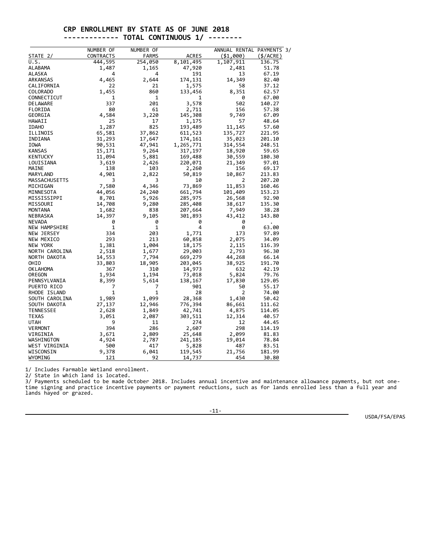#### **CRP ENROLLMENT BY STATE AS OF JUNE 2018 ------------- TOTAL CONTINUOUS 1/ --------**

|                           | NUMBER OF        | NUMBER OF      |              | ANNUAL RENTAL PAYMENTS 3/ |                 |
|---------------------------|------------------|----------------|--------------|---------------------------|-----------------|
| STATE 2/                  | <b>CONTRACTS</b> | <b>FARMS</b>   | <b>ACRES</b> | ( \$1,000)                | $($ \$/ACRE $)$ |
| U.S.                      | 444,595          | 254,050        | 8,101,495    | 1,107,911                 | 136.75          |
| ALABAMA                   | 1,487            | 1,165          | 47,920       | 2,481                     | 51.78           |
| <b>ALASKA</b>             | 4                | 4              | 191          | 13                        | 67.19           |
| ARKANSAS                  | 4,465            | 2,644          | 174,131      | 14,349                    | 82.40           |
| CALIFORNIA                | 22               | 21             | 1,575        | 58                        | 37.12           |
| <b>COLORADO</b>           | 1,455            | 860            | 133,456      | 8,351                     | 62.57           |
| CONNECTICUT               | 1                | 1              | 1            | 0                         | 67.00           |
| <b>DELAWARE</b>           | 337              | 201            | 3,578        | 502                       | 140.27          |
| FLORIDA                   | 80               | 61             | 2,711        | 156                       | 57.38           |
| GEORGIA                   | 4,584            | 3,220          | 145,308      | 9,749                     | 67.09           |
| HAWAII                    | 25               | 17             | 1,175        | 57                        | 48.64           |
| <b>IDAHO</b>              | 1,287            | 825            | 193,489      | 11,145                    | 57.60           |
| ILLINOIS                  | 65,581           | 37,862         | 611,523      | 135,727                   | 221.95          |
| INDIANA                   | 31,293           | 17,647         | 174,161      | 35,023                    | 201.10          |
| IOWA                      | 90,531           | 47,941         | 1,265,771    | 314,554                   | 248.51          |
| <b>KANSAS</b>             | 15,171           | 9,264          | 317,197      | 18,920                    | 59.65           |
| KENTUCKY                  | 11,094           | 5,881          | 169,488      | 30,559                    | 180.30          |
| LOUISIANA                 | 3,619            | 2,426          | 220,071      | 21,349                    | 97.01           |
| MAINE                     | 138              | 103            | 2,260        | 156                       | 69.17           |
| MARYLAND                  | 4,901            | 2,822          | 50,819       | 10,867                    | 213.83          |
| MASSACHUSETTS             | 3                | 3              | 10           | 2                         | 207.20          |
| MICHIGAN                  | 7,580            | 4,346          | 73,869       | 11,853                    | 160.46          |
| MINNESOTA                 | 44,056           | 24,240         | 661,794      | 101,409                   | 153.23          |
| MISSISSIPPI               | 8,701            |                | 285,975      | 26,568                    | 92.90           |
| MISSOURI                  | 14,708           | 5,926<br>9,280 | 285,408      | 38,617                    | 135.30          |
| <b>MONTANA</b>            | 1,682            | 838            |              |                           | 38.28           |
|                           |                  |                | 207,664      | 7,949                     |                 |
| NEBRASKA<br><b>NEVADA</b> | 14,397           | 9,105<br>0     | 301,893      | 43,412                    | 143.80          |
|                           | 0                | $\mathbf{1}$   | 0<br>4       | 0                         |                 |
| <b>NEW HAMPSHIRE</b>      | 1                |                |              | 0                         | 63.00           |
| NEW JERSEY                | 334              | 203            | 1,771        | 173                       | 97.89           |
| NEW MEXICO                | 293              | 213            | 60,858       | 2,075                     | 34.09           |
| <b>NEW YORK</b>           | 1,381            | 1,004          | 18,175       | 2,115                     | 116.39          |
| NORTH CAROLINA            | 2,518            | 1,677          | 29,003       | 2,793                     | 96.30           |
| NORTH DAKOTA              | 14,553           | 7,794          | 669,279      | 44,268                    | 66.14           |
| OHIO                      | 33,803           | 18,905         | 203,045      | 38,925                    | 191.70          |
| <b>OKLAHOMA</b>           | 367              | 310            | 14,973       | 632                       | 42.19           |
| OREGON                    | 1,934            | 1,194          | 73,018       | 5,824                     | 79.76           |
| PENNSYLVANIA              | 8,399            | 5,614          | 138,167      | 17,830                    | 129.05          |
| PUERTO RICO               | 7                | 7              | 901          | 50                        | 55.17           |
| RHODE ISLAND              | $\mathbf{1}$     | 1              | 28           | 2                         | 74.00           |
| SOUTH CAROLINA            | 1,989            | 1,099          | 28,368       | 1,430                     | 50.42           |
| SOUTH DAKOTA              | 27,137           | 12,946         | 776,394      | 86,661                    | 111.62          |
| <b>TENNESSEE</b>          | 2,628            | 1,849          | 42,741       | 4,875                     | 114.05          |
| <b>TEXAS</b>              | 3,051            | 2,087          | 303,511      | 12,314                    | 40.57           |
| <b>UTAH</b>               | 9                | 11             | 274          | 12                        | 44.45           |
| <b>VERMONT</b>            | 394              | 286            | 2,607        | 298                       | 114.19          |
| VIRGINIA                  | 3,671            | 2,809          | 25,648       | 2,099                     | 81.83           |
| WASHINGTON                | 4,924            | 2,787          | 241,185      | 19,014                    | 78.84           |
| WEST VIRGINIA             | 500              | 417            | 5,828        | 487                       | 83.51           |
| WISCONSIN                 | 9,378            | 6,041          | 119,545      | 21,756                    | 181.99          |
| WYOMING                   | 121              | 92             | 14,737       | 454                       | 30.80           |

1/ Includes Farmable Wetland enrollment.

2/ State in which land is located.

3/ Payments scheduled to be made October 2018. Includes annual incentive and maintenance allowance payments, but not onetime signing and practice incentive payments or payment reductions, such as for lands enrolled less than a full year and lands hayed or grazed.

-11-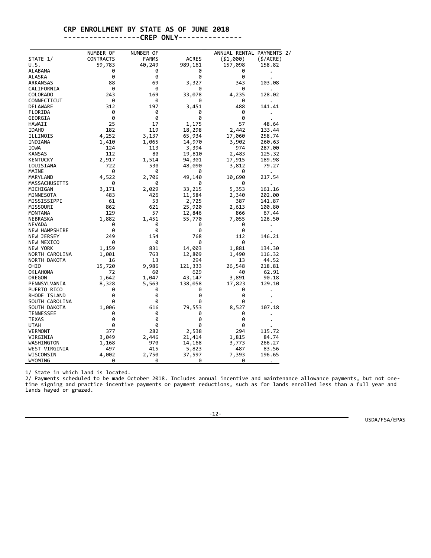### **CRP ENROLLMENT BY STATE AS OF JUNE 2018**

#### **------------------CREP ONLY---------------**

|                      | NUMBER OF        | NUMBER OF    |              | ANNUAL RENTAL PAYMENTS 2/ |              |
|----------------------|------------------|--------------|--------------|---------------------------|--------------|
| <b>STATE 1/</b>      | <b>CONTRACTS</b> | <b>FARMS</b> | <b>ACRES</b> | ( \$1,000)                | $($ \$/ACRE) |
| U.S.                 | 59,783           | 40,249       | 989,161      | 157,098                   | 158.82       |
| <b>ALABAMA</b>       | 0                | 0            | 0            | 0                         |              |
| ALASKA               | 0                | 0            | 0            | 0                         |              |
| ARKANSAS             | 88               | 69           | 3,327        | 343                       | 103.08       |
| CALIFORNIA           | 0                | 0            | 0            | 0                         |              |
| COLORADO             | 243              | 169          | 33,078       | 4,235                     | 128.02       |
| CONNECTICUT          | 0                | 0            | 0            | 0                         |              |
| DELAWARE             | 312              | 197          | 3,451        | 488                       | 141.41       |
| FLORIDA              | 0                | 0            | 0            | 0                         |              |
| GEORGIA              | 0                | 0            | 0            | 0                         |              |
| HAWAII               | 25               | 17           | 1,175        | 57                        | 48.64        |
| <b>IDAHO</b>         | 182              | 119          | 18,298       | 2,442                     | 133.44       |
| ILLINOIS             | 4,252            | 3,137        | 65,934       | 17,060                    | 258.74       |
| INDIANA              | 1,410            | 1,065        | 14,970       | 3,902                     | 260.63       |
| IOWA                 | 124              | 113          | 3,394        | 974                       | 287.00       |
| <b>KANSAS</b>        | 112              | 80           | 19,810       | 2,483                     | 125.32       |
| KENTUCKY             | 2,917            | 1,514        | 94,301       | 17,915                    | 189.98       |
| LOUISIANA            | 722              | 530          | 48,090       | 3,812                     | 79.27        |
| MAINE                | 0                | 0            | 0            | 0                         |              |
| MARYLAND             | 4,522            | 2,706        | 49,140       | 10,690                    | 217.54       |
| MASSACHUSETTS        | 0                | 0            | 0            | 0                         |              |
| MICHIGAN             | 3,171            | 2,029        | 33,215       | 5,353                     | 161.16       |
| MINNESOTA            | 483              | 426          | 11,584       | 2,340                     | 202.00       |
| MISSISSIPPI          | 61               | 53           | 2,725        | 387                       | 141.87       |
| MISSOURI             | 862              | 621          | 25,920       | 2,613                     | 100.80       |
| <b>MONTANA</b>       | 129              | 57           | 12,846       | 866                       | 67.44        |
| NEBRASKA             | 1,882            | 1,451        | 55,770       | 7,055                     | 126.50       |
| <b>NEVADA</b>        | 0                | 0            | 0            | 0                         |              |
| <b>NEW HAMPSHIRE</b> | 0                | 0            | 0            | 0                         |              |
| NEW JERSEY           | 249              | 154          | 768          | 112                       | 146.21       |
| NEW MEXICO           | 0                | 0            | 0            | 0                         |              |
| <b>NEW YORK</b>      | 1,159            | 831          | 14,003       | 1,881                     | 134.30       |
| NORTH CAROLINA       | 1,001            | 763          | 12,809       | 1,490                     | 116.32       |
| NORTH DAKOTA         | 16               | 13           | 294          | 13                        | 44.52        |
| OHIO                 | 15,720           | 9,986        | 121,333      | 26,548                    | 218.81       |
| <b>OKLAHOMA</b>      | 72               | 60           | 629          | 40                        | 62.91        |
| OREGON               | 1,642            | 1,047        | 43,147       | 3,891                     | 90.18        |
| PENNSYLVANIA         | 8,328            | 5,563        | 138,058      | 17,823                    | 129.10       |
| PUERTO RICO          | 0                | ø            | 0            | 0                         |              |
| RHODE ISLAND         | 0                | 0            | 0            | 0                         |              |
| SOUTH CAROLINA       | 0                | 0            | 0            | 0                         |              |
| SOUTH DAKOTA         | 1,006            | 616          | 79,553       | 8,527                     | 107.18       |
| <b>TENNESSEE</b>     | 0                | 0            | 0            | 0                         |              |
| <b>TEXAS</b>         | 0                | 0            | 0            | 0                         |              |
| UTAH                 | 0                | 0            | 0            | 0                         |              |
| <b>VERMONT</b>       | 377              | 282          | 2,538        | 294                       | 115.72       |
| VIRGINIA             | 3,049            | 2,446        | 21,414       | 1,815                     | 84.74        |
| WASHINGTON           | 1,168            | 970          | 14,168       | 3,773                     | 266.27       |
| WEST VIRGINIA        | 497              | 415          | 5,823        | 487                       | 83.56        |
| WISCONSIN            | 4,002            | 2,750        | 37,597       | 7,393                     | 196.65       |
| WYOMING              | 0                | ø            | 0            | 0                         |              |

1/ State in which land is located.

2/ Payments scheduled to be made October 2018. Includes annual incentive and maintenance allowance payments, but not onetime signing and practice incentive payments or payment reductions, such as for lands enrolled less than a full year and lands hayed or grazed.

-12-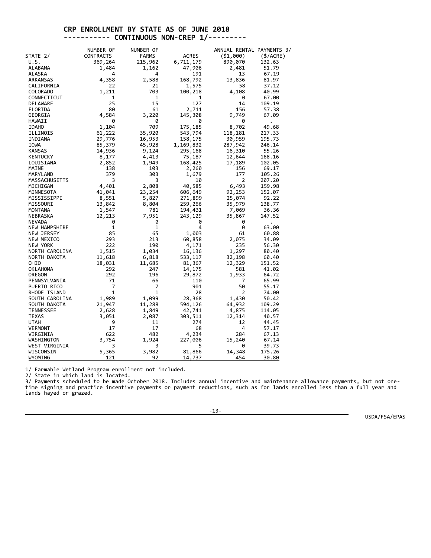#### **CRP ENROLLMENT BY STATE AS OF JUNE 2018 ----------- CONTINUOUS NON-CREP 1/---------**

|                      | NUMBER OF        | NUMBER OF    |              | ANNUAL RENTAL PAYMENTS 3/ |                 |
|----------------------|------------------|--------------|--------------|---------------------------|-----------------|
| STATE 2/             | <b>CONTRACTS</b> | <b>FARMS</b> | <b>ACRES</b> | ( \$1,000)                | $($ \$/ACRE $)$ |
| U.S.                 | 369,264          | 215,962      | 6,711,179    | 890,070                   | 132.63          |
| ALABAMA              | 1,484            | 1,162        | 47,906       | 2,481                     | 51.79           |
| <b>ALASKA</b>        | 4                | 4            | 191          | 13                        | 67.19           |
| ARKANSAS             | 4,358            | 2,588        | 168,792      | 13,836                    | 81.97           |
| CALIFORNIA           | 22               | 21           | 1,575        | 58                        | 37.12           |
| <b>COLORADO</b>      | 1,211            | 703          | 100,218      | 4,108                     | 40.99           |
| CONNECTICUT          | 1                | $\mathbf{1}$ | 1            | 0                         | 67.00           |
| <b>DELAWARE</b>      | 25               | 15           | 127          | 14                        | 109.19          |
| FLORIDA              | 80               | 61           | 2,711        | 156                       | 57.38           |
| GEORGIA              | 4,584            | 3,220        | 145,308      | 9,749                     | 67.09           |
| HAWAII               | 0                | 0            | 0            | ø                         |                 |
| <b>IDAHO</b>         | 1,104            | 709          | 175,185      | 8,702                     | 49.68           |
| ILLINOIS             | 61,222           | 35,920       | 543,794      | 118,181                   | 217.33          |
| INDIANA              | 29,776           | 16,953       | 158,175      | 30,959                    | 195.73          |
| IOWA                 | 85,379           | 45,928       | 1,169,832    | 287,942                   | 246.14          |
| <b>KANSAS</b>        | 14,936           | 9,124        | 295,168      | 16,310                    | 55.26           |
| <b>KENTUCKY</b>      | 8,177            | 4,413        | 75,187       | 12,644                    | 168.16          |
| LOUISIANA            | 2,852            | 1,949        | 168,425      | 17,189                    | 102.05          |
| MAINE                | 138              | 103          | 2,260        | 156                       | 69.17           |
| MARYLAND             | 379              | 303          | 1,679        | 177                       | 105.26          |
| MASSACHUSETTS        | 3                | 3            | 10           | 2                         | 207.20          |
| MICHIGAN             | 4,401            | 2,808        | 40,585       | 6,493                     | 159.98          |
| MINNESOTA            | 41,041           | 23,254       | 606,649      | 92,253                    | 152.07          |
| MISSISSIPPI          | 8,551            | 5,827        | 271,899      | 25,074                    | 92.22           |
| MISSOURI             | 13,842           | 8,804        | 259,266      | 35,979                    | 138.77          |
| <b>MONTANA</b>       | 1,547            | 781          | 194,431      | 7,069                     | 36.36           |
| NEBRASKA             | 12,213           | 7,951        | 243,129      | 35,867                    | 147.52          |
| NEVADA               | 0                | 0            | 0            | 0                         |                 |
| <b>NEW HAMPSHIRE</b> | $\mathbf{1}$     | $\mathbf{1}$ | 4            | 0                         | 63.00           |
| NEW JERSEY           | 85               | 65           | 1,003        | 61                        | 60.88           |
| NEW MEXICO           | 293              | 213          | 60,858       | 2,075                     | 34.09           |
| <b>NEW YORK</b>      | 222              | 190          | 4,171        | 235                       | 56.30           |
| NORTH CAROLINA       | 1,515            | 1,034        | 16,136       | 1,297                     | 80.40           |
| NORTH DAKOTA         | 11,618           | 6,818        | 533,117      | 32,198                    | 60.40           |
| OHIO                 | 18,031           | 11,685       | 81,367       | 12,329                    | 151.52          |
| <b>OK LAHOMA</b>     | 292              | 247          | 14,175       | 581                       | 41.02           |
| OREGON               | 292              | 196          | 29,872       | 1,933                     | 64.72           |
| PENNSYLVANIA         | 71               | 66           | 110          | 7                         | 65.99           |
| PUERTO RICO          | 7                | 7            | 901          | 50                        | 55.17           |
| RHODE ISLAND         | $\mathbf{1}$     | 1            | 28           | 2                         | 74.00           |
| SOUTH CAROLINA       | 1,989            | 1,099        | 28,368       | 1,430                     | 50.42           |
| SOUTH DAKOTA         | 21,947           | 11,288       | 594,126      | 64,932                    | 109.29          |
| <b>TENNESSEE</b>     | 2,628            | 1,849        | 42,741       | 4,875                     | 114.05          |
| <b>TEXAS</b>         | 3,051            | 2,087        | 303,511      | 12,314                    | 40.57           |
| <b>UTAH</b>          | 9                | 11           | 274          | 12                        | 44.45           |
| <b>VERMONT</b>       | 17               | 17           | 68           | 4                         | 57.17           |
| VIRGINIA             | 622              | 482          | 4,234        | 284                       | 67.13           |
| WASHINGTON           | 3,754            | 1,924        | 227,006      | 15,240                    | 67.14           |
| WEST VIRGINIA        | 3                | 3            | 5            | 0                         | 39.73           |
| WISCONSIN            | 5,365            | 3,982        | 81,866       | 14,348                    | 175.26          |
| WYOMING              | 121              | 92           | 14,737       | 454                       | 30.80           |
|                      |                  |              |              |                           |                 |

1/ Farmable Wetland Program enrollment not included.

2/ State in which land is located.

3/ Payments scheduled to be made October 2018. Includes annual incentive and maintenance allowance payments, but not onetime signing and practice incentive payments or payment reductions, such as for lands enrolled less than a full year and lands hayed or grazed.

-13-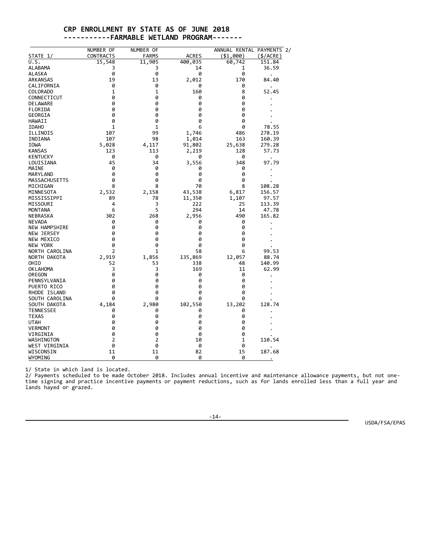#### **CRP ENROLLMENT BY STATE AS OF JUNE 2018 -----------FARMABLE WETLAND PROGRAM-------**

|                      | NUMBER OF    | NUMBER OF      |              | ANNUAL RENTAL PAYMENTS 2/ |              |
|----------------------|--------------|----------------|--------------|---------------------------|--------------|
| STATE 1/             | CONTRACTS    | <b>FARMS</b>   | <b>ACRES</b> | ( \$1,000)                | $($ \$/ACRE) |
| U.S.                 | 15,548       | 11,905         | 400,035      | 60,742                    | 151.84       |
| ALABAMA              | з            | 3              | 14           | 1                         | 36.59        |
| ALASKA               | 0            | 0              | 0            | 0                         |              |
| ARKANSAS             | 19           | 13             | 2,012        | 170                       | 84.40        |
| CALIFORNIA           | 0            | 0              | 0            | 0                         |              |
| COLORADO             | 1            | 1              | 160          | 8                         | 52.45        |
| CONNECTICUT          | 0            | 0              | 0            | 0                         |              |
| <b>DELAWARE</b>      | 0            | 0              | 0            | 0                         |              |
| FLORIDA              | 0            | 0              | 0            | 0                         |              |
| GEORGIA              | 0            | 0              | 0            | 0                         |              |
| HAWAII               | 0            | 0              | 0            | 0                         |              |
| <b>IDAHO</b>         | $\mathbf{1}$ | 1              | 6            | 0                         | 78.55        |
| ILLINOIS             | 107          | 99             | 1,746        | 486                       | 278.19       |
| INDIANA              | 107          | 98             | 1,014        | 163                       | 160.39       |
| IOWA                 | 5,028        | 4,117          | 91,802       | 25,638                    | 279.28       |
| <b>KANSAS</b>        | 123          | 113            | 2,219        | 128                       | 57.73        |
| <b>KENTUCKY</b>      | 0            | 0              | 0            | 0                         |              |
| LOUISIANA            | 45           | 34             | 3,556        | 348                       | 97.79        |
| MAINE                | 0            | 0              | 0            | 0                         |              |
| MARYLAND             | 0            | 0              | 0            | 0                         |              |
| MASSACHUSETTS        | 0            | 0              | 0            | 0                         |              |
| MICHIGAN             | 8            | 8              | 70           | 8                         | 108.28       |
| MINNESOTA            | 2,532        | 2,158          | 43,538       | 6,817                     | 156.57       |
| MISSISSIPPI          | 89           | 78             | 11,350       | 1,107                     | 97.57        |
| MISSOURI             | 4            | 3              | 222          | 25                        | 113.39       |
| <b>MONTANA</b>       | 6            | 5              | 294          | 14                        | 47.78        |
| <b>NEBRASKA</b>      | 302          | 268            | 2,956        | 490                       | 165.82       |
| <b>NEVADA</b>        | 0            | 0              | 0            | 0                         |              |
| <b>NEW HAMPSHIRE</b> | 0            | 0              | 0            | 0                         |              |
| NEW JERSEY           | 0            | 0              | 0            | 0                         |              |
| NEW MEXICO           | 0            | 0              | 0            | 0                         |              |
| <b>NEW YORK</b>      | 0            | 0              | 0            | 0                         |              |
| NORTH CAROLINA       | 2            | 1              | 58           | 6                         | 99.53        |
| NORTH DAKOTA         | 2,919        | 1,856          | 135,869      | 12,057                    | 88.74        |
| OHIO                 | 52           | 53             | 338          | 48                        | 140.99       |
| <b>OK LAHOMA</b>     | 3            | 3              | 169          | 11                        | 62.99        |
| OREGON               | 0            | 0              | 0            | 0                         |              |
| PENNSYLVANIA         | 0            | 0              | 0            | 0                         |              |
| PUERTO RICO          | 0            | 0              | 0            | 0                         |              |
| RHODE ISLAND         | 0            | 0              | 0            | 0                         |              |
| SOUTH CAROLINA       | 0            | 0              | 0            | 0                         |              |
| SOUTH DAKOTA         | 4,184        | 2,980          | 102,550      | 13,202                    | 128.74       |
| <b>TENNESSEE</b>     | 0            | 0              | 0            | 0                         |              |
| <b>TEXAS</b>         | 0            | 0              | 0            | 0                         |              |
| <b>UTAH</b>          | 0            | 0              | 0            | 0                         |              |
| <b>VERMONT</b>       | 0            | 0              | 0            | 0                         |              |
| VIRGINIA             | 0            | 0              | 0            | 0                         |              |
| WASHINGTON           | 2            | $\overline{2}$ | 10           | $\mathbf{1}$              | 110.54       |
| WEST VIRGINIA        | 0            | 0              | 0            | 0                         |              |
| WISCONSIN            | 11           | 11             | 82           | 15                        | 187.68       |
| WYOMING              | 0            | 0              | 0            | 0                         |              |
|                      |              |                |              |                           | $\bullet$    |

1/ State in which land is located.

2/ Payments scheduled to be made October 2018. Includes annual incentive and maintenance allowance payments, but not onetime signing and practice incentive payments or payment reductions, such as for lands enrolled less than a full year and lands hayed or grazed.

-14-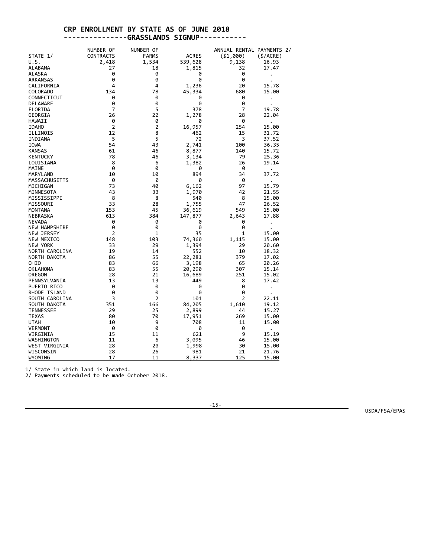### **CRP ENROLLMENT BY STATE AS OF JUNE 2018 ---------------GRASSLANDS SIGNUP-----------**

|                      | NUMBER OF      | NUMBER OF    |              | ANNUAL RENTAL PAYMENTS 2/ |              |
|----------------------|----------------|--------------|--------------|---------------------------|--------------|
| STATE 1/             | CONTRACTS      | <b>FARMS</b> | <b>ACRES</b> | ( \$1,000)                | $($ \$/ACRE) |
| U.S.                 | 2,418          | 1,534        | 539,628      | 9,138                     | 16.93        |
| ALABAMA              | 27             | 18           | 1,815        | 32                        | 17.47        |
| ALASKA               | 0              | 0            | 0            | 0                         |              |
| ARKANSAS             | 0              | 0            | 0            | 0                         |              |
| CALIFORNIA           | 4              | 4            | 1,236        | 20                        | 15.78        |
| COLORADO             | 134            | 78           | 45,334       | 680                       | 15.00        |
| CONNECTICUT          | 0              | 0            | 0            | 0                         |              |
| DELAWARE             | 0              | 0            | 0            | 0                         |              |
| FLORIDA              | 7              | 5            | 378          | 7                         | 19.78        |
| GEORGIA              | 26             | 22           | 1,278        | 28                        | 22.04        |
| HAWAII               | 0              | 0            | 0            | 0                         |              |
| <b>IDAHO</b>         | $\overline{2}$ | 2            | 16,957       | 254                       | 15.00        |
| ILLINOIS             | 12             | 8            | 462          | 15                        | 31.72        |
| INDIANA              | 5              | 5            | 72           | 3                         | 37.52        |
| IOWA                 | 54             | 43           | 2,741        | 100                       | 36.35        |
| <b>KANSAS</b>        | 61             | 46           | 8,877        | 140                       | 15.72        |
| <b>KENTUCKY</b>      | 78             | 46           | 3,134        | 79                        | 25.36        |
| LOUISIANA            | 8              | 6            | 1,382        | 26                        | 19.14        |
| MAINE                | 0              | 0            | 0            | 0                         |              |
| MARYLAND             | 10             | 10           | 894          | 34                        | 37.72        |
| MASSACHUSETTS        | 0              | 0            | 0            | 0                         |              |
| MICHIGAN             | 73             | 40           | 6,162        | 97                        | 15.79        |
| MINNESOTA            | 43             | 33           | 1,970        | 42                        | 21.55        |
| MISSISSIPPI          | 8              | 8            | 540          | 8                         | 15.00        |
| MISSOURI             | 33             | 28           | 1,755        | 47                        | 26.52        |
| <b>MONTANA</b>       | 153            | 45           | 36,619       | 549                       | 15.00        |
| NEBRASKA             | 613            | 384          | 147,877      | 2,643                     | 17.88        |
| <b>NEVADA</b>        | 0              | 0            | 0            | 0                         |              |
| <b>NEW HAMPSHIRE</b> | 0              | 0            | 0            | 0                         |              |
| NEW JERSEY           | $\overline{2}$ | 1            | 35           | 1                         | 15.00        |
| NEW MEXICO           | 148            | 103          | 74,360       | 1,115                     | 15.00        |
| NEW YORK             | 33             | 29           | 1,394        | 29                        | 20.60        |
| NORTH CAROLINA       | 19             | 14           | 552          | 10                        | 18.32        |
| NORTH DAKOTA         | 86             | 55           | 22,281       | 379                       | 17.02        |
| OHIO                 | 83             | 66           | 3,198        | 65                        | 20.26        |
| <b>OKLAHOMA</b>      | 83             | 55           | 20,290       | 307                       | 15.14        |
| OREGON               | 28             | 21           | 16,689       | 251                       | 15.02        |
| PENNSYLVANIA         | 13             | 13           | 449          | 8                         | 17.42        |
| PUERTO RICO          | 0              | 0            | 0            | 0                         | $\cdot$      |
| RHODE ISLAND         | 0              | 0            | 0            | 0                         |              |
| SOUTH CAROLINA       | 3              | 2            | 101          | 2                         | 22.11        |
| SOUTH DAKOTA         | 351            | 166          | 84,205       | 1,610                     | 19.12        |
| <b>TENNESSEE</b>     | 29             | 25           | 2,899        | 44                        | 15.27        |
| TEXAS                | 80             | 70           | 17,951       | 269                       | 15.00        |
| <b>UTAH</b>          | 10             | 9            | 708          | 11                        | 15.00        |
| <b>VERMONT</b>       | 0              | 0            | 0            | 0                         |              |
| VIRGINIA             | 15             | 11           | 621          | 9                         | 15.19        |
| WASHINGTON           | 11             | 6            | 3,095        | 46                        | 15.00        |
| WEST VIRGINIA        | 28             | 20           | 1,998        | 30                        | 15.00        |
| WISCONSIN            | 28             | 26           | 981          | 21                        | 21.76        |
| WYOMING              | 17             | 11           | 8,337        | 125                       | 15.00        |

1/ State in which land is located.

2/ Payments scheduled to be made October 2018.

-15-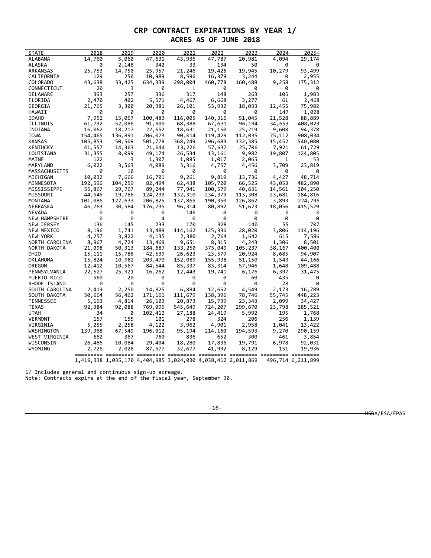## **CRP CONTRACT EXPIRATIONS BY YEAR 1/ ACRES AS OF JUNE 2018**

| <b>STATE</b>     | 2018    | 2019             | 2020              | 2021    | 2022    | 2023                                                        | 2024         | 2025+             |
|------------------|---------|------------------|-------------------|---------|---------|-------------------------------------------------------------|--------------|-------------------|
| ALABAMA          | 14,760  | 5,060            | 47,631            | 43,936  | 47,787  | 20,981                                                      | 4,094        | 29,174            |
| ALASKA           | 0       | 2,146            | 342               | 33      | 134     | 50                                                          | 0            | 0                 |
| ARKANSAS         | 25,753  | 14,750           | 25,957            | 21,246  | 19,426  | 19,945                                                      | 10,279       | 93,499            |
| CALIFORNIA       | 129     | 250              | 10,989            | 8,596   | 16,379  | 3,244                                                       | 0            | 2,955             |
| COLORADO         | 43,638  | 33,425           | 634,339           | 298,004 | 460,778 | 160,488                                                     | 9,258        | 175,312           |
| CONNECTICUT      | 20      | 3                | 0                 | 1       | 0       | 0                                                           | - 0          | 0                 |
| DELAWARE         | 393     | 257              | 336               | 317     | 148     | 263                                                         | 105          | 1,983             |
| FLORIDA          | 2,470   | 402              | 5,571             | 4,467   | 6,668   | 3,277                                                       | 61           | 2,468             |
| GEORGIA          | 21,765  | 3,300            | 20,381            | 26,101  | 53,932  | 18,033                                                      | 12,455       | 75,982            |
| HAWAII           | 0       | 0                | 0                 | 0       | 0       | 0                                                           | 147          | 1,028             |
| <b>IDAHO</b>     | 7,952   | 15,067           | 100,483           | 116,005 | 140,316 | 51,045                                                      | 21,528       | 88,889            |
| ILLINOIS         | 61,732  | 52,086           | 91,600            | 68,388  | 67,631  | 96,194                                                      | 34,653       | 408,023           |
| INDIANA          | 16,062  | 18,217           | 22,652            | 18,631  | 21,150  | 25,219                                                      | 9,608        | 94,378            |
| <b>IOWA</b>      | 154,465 | 136,891          | 206,073           | 90,014  | 119,429 | 112,035                                                     | 75,112       | 908,034           |
| KANSAS           | 105,853 | 50,509           | 501,778           | 368,249 | 296,683 | 132,385                                                     | 15,452       | 540,080           |
| KENTUCKY         | 41,557  | 14,363           | 21,644            | 13,226  | 57,637  | 25,706                                                      | 7,921        | 61,729            |
| LOUISIANA        | 31,355  | 8,099            | 49,174            | 26,534  | 13,161  | 9,982                                                       | 19,807       | 124,805           |
| MAINE            | 122     | 3                | 1,307             | 1,085   | 1,017   | 2,065                                                       | $\mathbf{1}$ | 53                |
| MARYLAND         | 6,022   | 3,563            | 4,089             | 3,316   | 4,757   | 4,456                                                       | 3,709        | 23,819            |
| MASSACHUSETTS    | ø       | 10               | ø                 | 0       | 0       | ø                                                           | ø            | 0                 |
| MICHIGAN         | 10,032  | 7,666            | 16,701            | 9,261   | 9,819   | 13,736                                                      | 4,427        | 48,714            |
| MINNESOTA        | 192,596 | 104,259          | 82,494            | 62,438  | 105,720 | 66,525                                                      | 43,053       | 482,890           |
| MISSISSIPPI      | 55,867  | 29,767           | 89,244            | 77,941  | 100,579 | 40,631                                                      | 14,561       | 204,250           |
| MISSOURI         | 44,545  | 19,786           | 124,233           | 132,310 | 234,379 | 113,308                                                     | 23,681       | 184,816           |
| MONTANA          | 101,086 | 122,633          | 206,825           | 137,865 | 190,350 | 126,862                                                     | 3,893        | 224,796           |
| NEBRASKA         | 46,763  | 30,584           | 176,735           | 96,314  | 80,892  | 51,623                                                      | 18,056       | 415,529           |
| <b>NEVADA</b>    | 0       | 0                | 0                 | 146     | 0       | 0                                                           | 0            | 0                 |
| NEW HAMPSHIRE    | - 0     | 0                | 4                 | 0       | 0       | 0                                                           | 0            | 0                 |
| NEW JERSEY       | 136     | 145              | 233               | 170     | 328     | 140                                                         | 55           | 707               |
| NEW MEXICO       | 8,196   | 1,741            | 13,489            | 114,162 | 125,336 | 28,020                                                      | 3,806        | 114,196           |
| NEW YORK         | 4,257   | 3,822            | 4,135             | 2,380   | 2,764   | 1,642                                                       | 615          | 7,586             |
| NORTH CAROLINA   | 8,967   | 4,724            | 13,469            | 9,651   | 8,315   | 4,243                                                       | 1,306        | 8,501             |
| NORTH DAKOTA     | 21,098  | 50,313           | 184,687           | 133,250 | 375,049 | 105,237                                                     | 38,167       | 400,400           |
| OHIO             | 15,111  | 15,786           | 42,539            | 26,623  | 23,579  | 20,924                                                      | 8,685        | 94,907            |
| OKLAHOMA         | 15,824  | 10,982           | 203,473           | 152,089 | 155,938 | 51,150                                                      | 1,543        | 44,166            |
| OREGON           | 12,412  |                  |                   | 85,337  | 83,314  | 57,946                                                      | 1,648        | 109,488           |
| PENNSYLVANIA     | 22,527  | 10,567<br>25,921 | 84,544<br>16,262  | 12,443  | 19,741  | 6,176                                                       | 6,397        | 31,475            |
| PUERTO RICO      | 560     | 20               | 0                 | 0       | 0       | 60                                                          | 435          | 0                 |
| RHODE ISLAND     | 0       | 0                | 0                 | 0       | 0       | 0                                                           | 28           | 0                 |
| SOUTH CAROLINA   | 2,413   | 2,250            | 14,825            | 6,884   | 12,652  | 4,549                                                       | 2,173        | 16,789            |
| SOUTH DAKOTA     | 50,664  | 56,462           |                   | 111,679 | 138,396 | 78,746                                                      | 55,745       | 448,223           |
| <b>TENNESSEE</b> | 5,163   | 4,814            | 171,161<br>26,103 | 20,873  | 15,739  | 23,343                                                      | 2,099        | 34,427            |
| TEXAS            |         |                  |                   |         | 724,207 | 299,670                                                     |              |                   |
|                  | 92,384  | 92,088           | 769,095           | 545,649 |         |                                                             | 23,798       | 285,521           |
| UTAH             | 34      | 0                | 102,412           | 27,188  | 24,419  | 5,992                                                       | 195          | 1,768             |
| <b>VERMONT</b>   | 157     | 155              | 101               | 278     | 324     | 206                                                         | 256          | 1,139             |
| VIRGINIA         | 5,255   | 2,258            | 4,122             | 3,962   | 4,901   | 2,958                                                       | 1,041        | 13,422            |
| WASHINGTON       | 139,368 | 67,549           | 196,012           | 95,194  | 214,160 | 194,593                                                     | 9,270        | 290,159           |
| WEST VIRGINIA    | 662     | 367              | 760               | 836     | 652     | 300                                                         | 461          | 3,854             |
| WISCONSIN        | 26,486  | 10,084           | 29,404            | 18,280  | 17,836  | 19,791                                                      | 6,978        | 92,031            |
| WYOMING          | 2,726   | 2,026            | 87,577            | 32,677  |         | 41,992 8,129                                                | 151          | 19,936            |
|                  |         |                  |                   |         |         | 1,419,338 1,035,170 4,404,985 3,024,030 4,038,412 2,011,869 |              | 496,714 6,211,899 |

1/ Includes general and continuous sign-up acreage.

Note: Contracts expire at the end of the fiscal year, September 30.

-16-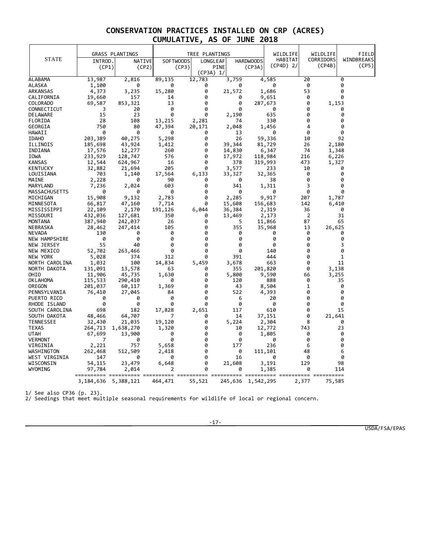|                    |                         | <b>GRASS PLANTINGS</b> |           | TREE PLANTINGS |                         |                   | WILDLIFE    |          | WILDLIFE  | FIELD      |  |
|--------------------|-------------------------|------------------------|-----------|----------------|-------------------------|-------------------|-------------|----------|-----------|------------|--|
| <b>STATE</b>       |                         |                        |           | SOFTWOODS      |                         |                   | HABITAT     |          | CORRIDORS | WINDBREAKS |  |
|                    | INTROD.                 | <b>NATIVE</b>          |           |                | LONGLEAF<br><b>PINE</b> | <b>HARDWOODS</b>  | $(CP4D)$ 2/ |          | (CP4B)    | (CP5)      |  |
|                    | (CP1)                   | (CP2)                  |           | (CP3)          | (CP3A) 1/               | (CP3A)            |             |          |           |            |  |
| ALABAMA            | 13,987                  | 2,816                  | 89,135    | 12,783         | 3,759                   |                   | 4,585       | 20       |           | 0          |  |
| ALASKA             | 1,100                   | 0                      | 0         | 0              | 0                       |                   | 0           | 0        |           | 0          |  |
| ARKANSAS           | 4,373                   | 3,235                  | 15,280    | 0              | 21,572                  |                   | 1,686       | 53       |           | 0          |  |
| CALIFORNIA         | 19,660                  | 157                    | 14        | 0              | 0                       |                   | 9,651       | 0        |           | 0          |  |
| COLORADO           | 69,587                  | 853,321                | 13        | 0              | 0                       | 287,673           |             | 0        | 1,153     |            |  |
| CONNECTICUT        | 3                       | 20                     | 0         | 0              | 0                       |                   | 0           | 0        |           | 0          |  |
| DELAWARE           | 15                      | 23                     | 0         | ø              | 2,190                   |                   | 635         | 0        |           | 0          |  |
| FLORIDA            | 28                      | 108                    | 13,215    | 2,281          | 74                      |                   | 330         | 0        |           | 0          |  |
| GEORGIA            | 750                     | 80                     | 47,394    | 20,171         | 2,048                   |                   | 1,456       | 4        |           | 0          |  |
| HAWAII             | 0                       | 0                      | 0         | 0              | 13                      |                   | 0           | 0        |           | 0          |  |
| <b>IDAHO</b>       | 203,389                 | 40,275                 | 5,298     | 0              | 26                      | 59,336            |             | 10       |           | 92         |  |
| ILLINOIS           | 185,698                 | 43,924                 | 1,412     | 0              | 39,344                  | 81,729            |             | 26       | 2,180     |            |  |
| INDIANA            | 17,576                  | 12,277                 | 260       | 0              | 14,830                  |                   | 6,347       | 74       | 1,348     |            |  |
| IOWA               | 233,929                 | 128,747                | 576       | 0              | 17,972                  | 118,984           |             | 216      | 6,226     |            |  |
| KANSAS             | 12,544                  | 624,967                | 16        | 0              | 378                     | 319,993           |             | 473      | 1,327     |            |  |
| KENTUCKY           | 32,882                  | 21,694                 | 205       | 0              | 3,577                   |                   | 233         | 10       |           | 0          |  |
| LOUISIANA          | 703                     | 1,140                  | 17,564    | 6,133          | 33,327                  | 32,365            |             | 0        |           | 0          |  |
| MAINE              | 2,228                   | 0                      | 90        | 0              | 0                       |                   | 38          | 0        |           | 0          |  |
| MARYLAND           | 7,236                   | 2,024                  | 603       | 0              | 341                     |                   | 1,311       | 3        |           | 0          |  |
| MASSACHUSETTS      | 0                       | 0                      | 0         | 0              | 0                       |                   | 0           | 0        |           | 0          |  |
| MICHIGAN           | 15,908                  | 9,132                  | 2,783     | 0              | 2,285                   |                   | 9,917       | 207      | 1,787     |            |  |
| MINNESOTA          | 66,817                  | 47,160                 | 7,714     | 0              | 15,608                  | 156,683           |             | 142      | 6,410     |            |  |
| MISSISSIPPI        | 22,109                  | 2,170                  | 191,126   | 6,044          | 36,384                  |                   | 2,319       | 36       |           | 0          |  |
| MISSOURI           | 432,036                 | 127,681                | 350       | 0              | 13,469                  |                   | 2,173       | 2        |           | 31         |  |
| MONTANA            | 387,940                 | 242,037<br>247,414     | 26<br>105 | 0<br>0         | 5<br>355                | 11,866            |             | 87<br>13 |           | 65         |  |
| NEBRASKA<br>NEVADA | 28,462<br>130           | 0                      | 0         | 0              | 0                       | 35,968            | 0           | 0        | 26,625    | 0          |  |
| NEW HAMPSHIRE      | - 0                     | 0                      | 0         | 0              | 0                       |                   | 0           | 0        |           | 0          |  |
| NEW JERSEY         | 55                      | 40                     | 0         | 0              | 0                       |                   | 0           | 0        |           | 3          |  |
| NEW MEXICO         | 52,702                  | 263,466                | 0         | 0              | 0                       |                   | 140         | 0        |           | 0          |  |
| NEW YORK           | 5,028                   | 374                    | 312       | 0              | 391                     |                   | 444         | 0        |           | 1          |  |
| NORTH CAROLINA     | 1,032                   | 100                    | 14,834    | 5,459          | 3,678                   |                   | 663         | 0        |           | 11         |  |
| NORTH DAKOTA       | 131,091                 | 13,578                 | 63        | 0              | 355                     | 201,820           |             | 0        | 3,138     |            |  |
| OHIO               | 11,906                  | 45,735                 | 1,630     | 0              | 5,800                   |                   | 9,590       | 66       | 3,255     |            |  |
| <b>OKLAHOMA</b>    | 115,533                 | 290,410                | 0         | 0              | 120                     |                   | 888         | 0        |           | 35         |  |
| OREGON             | 201,037                 | 60,117                 | 1,369     | 0              | 43                      |                   | 8,504       | 1        |           | 0          |  |
| PENNSYLVANIA       | 76,410                  | 27,045                 | 84        | 0              | 522                     |                   | 4,393       | 0        |           | 0          |  |
| PUERTO RICO        | 0                       | 0                      | 0         | 0              | 6                       |                   | 20          | 0        |           | 0          |  |
| RHODE ISLAND       | 0                       | 0                      | 0         | 0              | 0                       |                   | 0           | 0        |           | 0          |  |
| SOUTH CAROLINA     | 698                     | 182                    | 17,828    | 2,651          | 117                     |                   | 610         | 0        |           | 15         |  |
| SOUTH DAKOTA       | 48,466                  | 64,707                 | 7         | 0              | 14                      | 37,151            |             | 0        | 21,641    |            |  |
| <b>TENNESSEE</b>   | 32,430                  | 21,035                 | 19,120    | 0              | 5,224                   |                   | 2,304       | 8        |           | 0          |  |
| <b>TEXAS</b>       | 264,713                 | 1,638,270              | 1,320     | 0              | 10                      | 12,772            |             | 743      |           | 23         |  |
| <b>UTAH</b>        | 67,699                  | 13,900                 | 0         | 0              | 0                       |                   | 1,805       | 0        |           | 0          |  |
| <b>VERMONT</b>     | 7                       | 0                      | 0         | 0              | 0                       |                   | 0           | 0        |           | 0          |  |
| VIRGINIA           | 2,221                   | 757                    | 5,658     | 0              | 177                     |                   | 236         | 6        |           | 0          |  |
| WASHINGTON         | 262,468                 | 512,509                | 2,418     | 0              | 0                       | 111,101           |             | 48       |           | 6          |  |
| WEST VIRGINIA      | 147                     | 0                      | 0         | 0              | 16                      |                   | 0           | 0        |           | 0          |  |
| WISCONSIN          | 54,115                  | 23,479                 | 6,648     | 0              | 21,608                  |                   | 3,191       | 129      |           | 98         |  |
| WYOMING            | 97,784                  | 2,014                  | 2         | 0              | 0                       |                   | 1,385       | 0        |           | 114        |  |
|                    | 3, 184, 636 5, 388, 121 |                        | 464,471   | 55,521         |                         | 245,636 1,542,295 |             | 2,377    | 75,585    |            |  |

1/ See also CP36 (p. 23).

2/ Seedings that meet multiple seasonal requirements for wildlife of local or regional concern.

-17-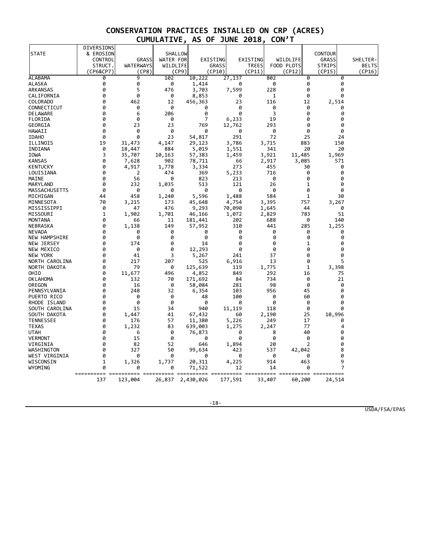|                  | DIVERSIONS |                  |           |           |              |       |              |        |            |       |                |              |
|------------------|------------|------------------|-----------|-----------|--------------|-------|--------------|--------|------------|-------|----------------|--------------|
| <b>STATE</b>     | & EROSION  |                  | SHALLOW   |           |              |       |              |        |            |       | <b>CONTOUR</b> |              |
|                  | CONTROL    | <b>GRASS</b>     | WATER FOR | EXISTING  |              |       | EXISTING     |        | WILDLIFE   |       | GRASS          | SHELTER-     |
|                  | STRUCT.    | <b>WATERWAYS</b> | WILDLIFE  |           | <b>GRASS</b> |       | <b>TREES</b> |        | FOOD PLOTS |       | <b>STRIPS</b>  | <b>BELTS</b> |
|                  | (CP6&CP7)  | (CP8)            | (CP9)     |           | (CP10)       |       | (CP11)       |        | (CP12)     |       | (CP15)         | (CP16)       |
| ALABAMA          | 0          | 9                | 102       | 10,222    | 27,137       |       |              | 802    |            | 0     | 0              |              |
| ALASKA           | 0          | 0                | 0         | 1,414     |              | 0     |              | 0      |            | 0     | 0              |              |
| ARKANSAS         | 0          | 5                | 476       | 3,703     |              | 7,599 |              | 228    |            | 0     | 0              |              |
| CALIFORNIA       | 0          | 0                | 0         | 8,853     |              | 0     |              | 1      |            | 0     | 0              |              |
| COLORADO         | 0          | 462              | 12        | 456,363   |              | 23    |              | 116    |            | 12    | 2,514          |              |
| CONNECTICUT      | 0          | 0                | 0         | 0         |              | 0     |              | 0      |            | 0     | 0              |              |
| DELAWARE         | 0          | 6                | 206       | 0         |              | 0     |              | 3      |            | 0     | 0              |              |
| FLORIDA          | 0          | 0                | 0         | 7         |              | 6,233 |              | 19     |            | 0     | 0              |              |
| GEORGIA          | 0          | 23               | 23        | 769       | 12,762       |       |              | 293    |            | 0     | 0              |              |
| HAWAII           | 0          | 0                | 0         | 0         |              | 0     |              | 0      |            | 0     | 0              |              |
| <b>IDAHO</b>     | 0          | 0                | 23        | 54,817    |              | 291   |              | 72     |            | 25    | 24             |              |
| ILLINOIS         | 19         | 31,473           | 4,147     | 29,123    |              | 3,786 |              | 3,715  |            | 883   | 150            |              |
| INDIANA          | 0          | 18,447           | 884       | 5,019     |              | 1,551 |              | 341    |            | 20    | 20             |              |
| <b>IOWA</b>      | 3          | 35,707           | 10,163    | 57,383    |              | 1,459 |              | 3,921  | 11,485     |       | 1,969          |              |
| <b>KANSAS</b>    | 0          | 7,628            | 902       | 78,711    |              | 66    |              | 2,917  |            | 3,085 | 571            |              |
| <b>KENTUCKY</b>  | 0          | 4,917            | 1,778     | 3,334     |              | 273   |              | 455    |            | 30    | 0              |              |
| LOUISIANA        | 0          | 2                | 474       | 369       |              | 5,233 |              | 716    |            | 0     | 0              |              |
| MAINE            | 0          | 56               | 0         | 823       |              | 213   |              | 0      |            | 0     | 0              |              |
| MARYLAND         | 0          | 232              | 1,035     | 513       |              | 121   |              | 26     |            | 1     | 0              |              |
| MASSACHUSETTS    | 0          | 0                | 0         | 0         |              | 0     |              | 0      |            | 0     | 0              |              |
| MICHIGAN         | 44         | 458              | 1,240     | 5,596     |              | 1,488 |              | 584    |            | 1     | 30             |              |
| MINNESOTA        | 70         | 3,215            | 173       | 45,648    |              | 4,754 |              | 3,395  |            | 757   | 3,267          |              |
| MISSISSIPPI      | 0          | 47               | 476       | 9,293     | 70,090       |       |              | 1,645  |            | 44    | 0              |              |
| MISSOURI         | 1          | 1,902            | 1,701     | 46,166    |              | 1,072 |              | 2,829  |            | 783   | 51             |              |
| <b>MONTANA</b>   | 0          | 66               | 11        | 181,441   |              | 202   |              | 688    |            | 0     | 140            |              |
| NEBRASKA         | 0          | 1,138            | 149       | 57,952    |              | 310   |              | 441    |            | 285   | 1,255          |              |
| <b>NEVADA</b>    | 0          | 0                | 0         | 0         |              | 0     |              | 0      |            | 0     | 0              |              |
| NEW HAMPSHIRE    | 0          | 0                | 0         | 0         |              | 0     |              | 0      |            | 0     | 0              |              |
| NEW JERSEY       | 0          | 174              | 0         | 14        |              | 0     |              | 0      |            | 1     | 0              |              |
| NEW MEXICO       | 0          | 0                | 0         | 12,293    |              | 0     |              | 0      |            | 0     | 0              |              |
| NEW YORK         | 0          | 41               | 3         | 5,267     |              | 241   |              | 37     |            | 0     | 0              |              |
| NORTH CAROLINA   | 0          | 217              | 207       | 525       |              | 6,916 |              | 13     |            | 0     | 5              |              |
| NORTH DAKOTA     | 0          | 79               | 0         | 125,639   |              | 119   |              | 1,775  |            | 1     | 3,398          |              |
| OHIO             | 0          | 11,677           | 496       | 4,852     |              | 849   |              | 292    |            | 16    | 75             |              |
| <b>OKLAHOMA</b>  | 0          | 132              | 70        | 171,692   |              | 84    |              | 734    |            | 0     | 21             |              |
| OREGON           | 0          | 16               | 0         | 58,084    |              | 281   |              | 98     |            | 0     | 0              |              |
| PENNSYLVANIA     | 0          | 248              | 32        | 6,354     |              | 103   |              | 956    |            | 45    | 0              |              |
| PUERTO RICO      | 0          | 0                | 0         | 48        |              | 100   |              | 0      |            | 60    | 0              |              |
| RHODE ISLAND     | 0          | 0                | 0         | 0         |              | 0     |              | 0      |            | 0     | 0              |              |
| SOUTH CAROLINA   | 0          | 15               | 34        | 940       | 11,119       |       |              | 118    |            | 0     | 0              |              |
| SOUTH DAKOTA     | 0          | 1,447            | 41        | 67,432    |              | 60    |              | 2,190  |            | 25    | 10,996         |              |
| <b>TENNESSEE</b> | 0          | 176              | 57        | 11,380    |              | 5,226 |              | 249    |            | 17    | 0              |              |
| <b>TEXAS</b>     | 0          | 1,232            | 83        | 639,003   |              | 1,275 |              | 2,247  |            | 77    | 4              |              |
| <b>UTAH</b>      | 0          | 6                | 0         | 76,873    |              | 0     |              | 8      |            | 40    | 0              |              |
| <b>VERMONT</b>   | 0          | 15               | 0         | 0         |              | 0     |              | 0      |            | 0     | 0              |              |
| VIRGINIA         | 0          | 82               | 52        | 646       |              | 1,894 |              | 20     |            | 2     | 0              |              |
| WASHINGTON       | 0          | 327              | 50        | 99,634    |              | 423   |              | 537    | 42,042     |       | 8              |              |
| WEST VIRGINIA    | 0          | 0                | 0         | 0         |              | 0     |              | 0      |            | 0     | 0              |              |
| WISCONSIN        | 1          | 1,326            | 1,737     | 20,311    |              | 4,225 |              | 914    |            | 463   | 9              |              |
| WYOMING          | 0          | 0                | 0         | 71,522    |              | 12    |              | 14     |            | 0     | $\overline{7}$ |              |
|                  | $=$ $=$    |                  | $=$       | =======   |              |       |              |        |            |       |                |              |
|                  | 137        | 123,004          | 26,837    | 2,430,026 | 177,591      |       |              | 33,407 | 60,200     |       | 24,514         |              |
|                  |            |                  |           |           |              |       |              |        |            |       |                |              |

-18-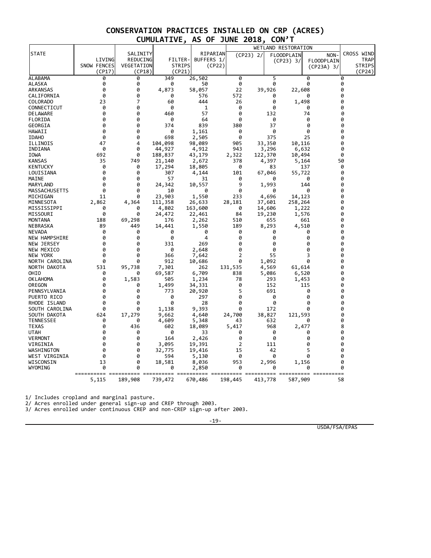|                                  |             |            |               |                 |             |             |            | WETLAND RESTORATION |                   |               |
|----------------------------------|-------------|------------|---------------|-----------------|-------------|-------------|------------|---------------------|-------------------|---------------|
| <b>STATE</b>                     |             | SALINITY   |               | RIPARIAN        |             | $(CP23)$ 2/ |            | <b>FLOODPLAIN</b>   | <b>NON</b>        | CROSS WIND    |
|                                  | LIVING      | REDUCING   | FILTER-       | BUFFERS 1/      |             |             |            | $(CP23)$ 3/         | <b>FLOODPLAIN</b> | TRAP          |
|                                  | SNOW FENCES | VEGETATION | <b>STRIPS</b> | (CP22)          |             |             |            |                     | (CP23A) 3/        | <b>STRIPS</b> |
|                                  | (CP17)      | (CP18)     | (CP21)        |                 |             |             |            |                     |                   | (CP24)        |
| ALABAMA                          | 0           | 0          | 349           | 26,502          | 0           |             | 5          |                     | 0                 | 0             |
| ALASKA                           | 0           | 0          | 0             | 50              | 0           |             | 0          |                     | 0                 | 0             |
| ARKANSAS                         | 0           | 0          | 4,873         | 58,057          | 22          |             | 39,926     | 22,608              |                   | 0             |
| CALIFORNIA                       | 0           | 0          | 0             | 576             | 572         |             | 0          |                     | 0                 | 0             |
| COLORADO                         | 23          | 7          | 60            | 444             | 26          |             | 0          | 1,498               |                   | 0             |
| CONNECTICUT                      | 0           | 0          | 0             | 1               | 0           |             | 0          |                     | 0                 | 0             |
| DELAWARE                         | 0           | 0          | 460           | 57              | 0           |             | 132        |                     | 74                | 0             |
| FLORIDA                          | 0           | 0          | 0             | 64              | 0           |             | 0          |                     | 0                 | 0             |
| GEORGIA                          | 0           | 0          | 374           | 839             | 380         |             | 37         |                     | 0                 | 0             |
| HAWAII                           | 0           | 0          | 0             | 1,161           | 0           |             | 0          |                     | 0                 | 0             |
| <b>IDAHO</b>                     | 0           | 0          | 698           | 2,505           | 0           |             | 375        |                     | 25                | 0             |
| ILLINOIS                         | 47          | 4          | 104,098       | 98,089          | 905         |             | 33,350     | 10,116              |                   | 0             |
| INDIANA                          | 0           | 0          | 44,927        | 4,912           | 943         |             | 3,296      | 6,632               |                   | 0             |
| IOWA                             | 692         | 0          | 188,837       | 43,179          | 2,322       |             | 122,370    | 10,494              |                   | 0             |
| <b>KANSAS</b>                    | 35          | 749        | 21,140        | 2,672           | 378         |             | 4,397      | 5,164               |                   | 50            |
| <b>KENTUCKY</b>                  | 0           | 0          | 17,294        | 18,805          | 0           |             | 83         |                     | 137               | 0             |
| LOUISIANA                        | ø           | 0          | 307           | 4,144           | 101         |             | 67,046     | 55,722              |                   | 0             |
| MAINE                            | 0           | 0          | 57            | 31              | 0           |             | 0          |                     | 0                 | 0             |
| MARYLAND                         | 0           | 0          | 24,342        | 10,557          | 9           |             | 1,993      |                     | 144               | 0             |
| MASSACHUSETTS                    | 0           | 0          | 10            | 0               | 0           |             | 0          |                     | 0                 | 0             |
| MICHIGAN                         | 11          | 0          | 23,903        | 1,550           | 233         |             | 4,696      | 14,123              |                   | 0             |
| MINNESOTA                        | 2,862       | 4,364      | 111,358       | 26,633          | 28,181      |             | 37,601     | 258,264             |                   | 0             |
| MISSISSIPPI                      | 0           | 0          | 4,802         | 163,600         | 0           |             | 14,606     | 1,222               |                   | 0             |
| MISSOURI                         | 0           | 0          | 24,472        | 22,461          | 84          |             | 19,230     | 1,576               |                   | 0             |
| MONTANA                          | 188         | 69,298     | 176           | 2,262           | 510         |             | 655        |                     | 661               | 0             |
| NEBRASKA                         | 89          | 449        | 14,441        | 1,550           | 189         |             | 8,293      | 4,510               |                   | 0             |
| NEVADA                           | 0           | 0          | 0             | 0               | 0           |             | 0          |                     | 0                 | 0             |
| <b>NEW HAMPSHIRE</b>             | 0           | 0          | 0             | 4               | 0           |             | 0          |                     | 0                 | 0             |
| NEW JERSEY                       | 0           | 0          | 331           | 269             | 0           |             | 0          |                     | 0                 | 0             |
| NEW MEXICO                       | 0           | 0          | 0             | 2,648           | 0           |             | 0          |                     | 0                 | 0             |
| NEW YORK                         | 0           | 0          | 366           | 7,642           | 2           |             | 55         |                     | 3<br>0            | 0             |
| NORTH CAROLINA                   | ø           | 0          | 912           | 10,686          | 0           |             | 1,092      |                     |                   | 0             |
| NORTH DAKOTA<br>OHIO             | 531         | 95,738     | 7,301         | 262             | 131,535     |             | 4,569      | 61,614              |                   | 0<br>0        |
|                                  | 0<br>0      | 0          | 69,587<br>505 | 6,709           | 838         |             | 5,086      | 6,520               |                   | 0             |
| <b>OKLAHOMA</b>                  | 0           | 1,583      |               | 1,234           | 78          |             | 293        | 1,453               |                   | 0             |
| OREGON                           | 0           | 0<br>0     | 1,499         | 34,331          | 0<br>5      |             | 152        |                     | 115<br>0          | 0             |
| PENNSYLVANIA<br>PUERTO RICO      | 0           | 0          | 773<br>0      | 20,920<br>297   | 0           |             | 691<br>0   |                     | 0                 | 0             |
| RHODE ISLAND                     | 0           | 0          | 0             | 28              | 0           |             | 0          |                     | 0                 | 0             |
| SOUTH CAROLINA                   | 0           | 0          |               | 9,393           | 0           |             | 172        |                     | 0                 | 0             |
| SOUTH DAKOTA                     | 624         |            | 1,138         |                 |             |             | 38,827     |                     |                   | 0             |
|                                  |             | 17,279     | 9,662         | 4,640           | 24,700      |             |            | 121,593             |                   |               |
| <b>TENNESSEE</b><br><b>TEXAS</b> | 0<br>0      | 0<br>436   | 4,609<br>602  | 5,348<br>18,089 | 43<br>5,417 |             | 632<br>968 | 2,477               | 0                 | 0<br>8        |
| <b>UTAH</b>                      | 0           | 0          | 0             | 33              | 0           |             | 0          |                     | 0                 | 0             |
| <b>VERMONT</b>                   | 0           | 0          | 164           | 2,426           | 0           |             | 0          |                     | 0                 | 0             |
| VIRGINIA                         | 0           | 0          | 3,095         | 19,391          | 2           |             | 111        |                     | 0                 | 0             |
| WASHINGTON                       | ø           | 0          | 32,775        | 19,416          | 15          |             | 42         |                     | 5                 | 0             |
| WEST VIRGINIA                    | 0           | 0          | 594           | 5,130           | 0           |             | 0          |                     | 0                 | 0             |
| WISCONSIN                        | 13          | 0          | 18,581        | 8,036           | 953         |             | 2,996      | 1,156               |                   | 0             |
| WYOMING                          | 0           | 0          | 0             | 2,850           | ø           |             | 0          |                     | 0                 | 0             |
|                                  |             |            |               |                 |             |             |            | seccesses essessess |                   |               |
|                                  | 5,115       | 189,908    | 739,472       | 670,486         | 198,445     |             | 413,778    | 587,909             |                   | 58            |

1/ Includes cropland and marginal pasture.

2/ Acres enrolled under general sign-up and CREP through 2003.

3/ Acres enrolled under continuous CREP and non-CREP sign-up after 2003.

-19-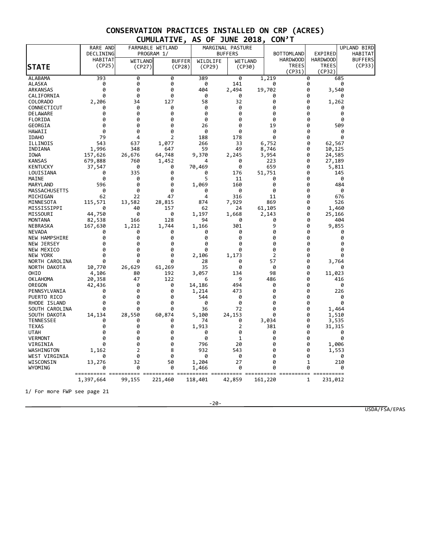|                            | RARE AND    |              | FARMABLE WETLAND |                | MARGINAL PASTURE |                 |                        |                        |                 | UPLAND BIRD    |
|----------------------------|-------------|--------------|------------------|----------------|------------------|-----------------|------------------------|------------------------|-----------------|----------------|
|                            | DECLINING   |              | PROGRAM 1/       |                | <b>BUFFERS</b>   |                 | <b>BOTTOMLAND</b>      | EXPIRED                |                 | HABITAT        |
|                            | HABITAT     | WETLAND      | <b>BUFFER</b>    | WILDLIFE       | <b>WETLAND</b>   |                 | <b>HARDWOOD</b>        | <b>HARDWOOD</b>        |                 | <b>BUFFERS</b> |
| <b>STATE</b>               | (CP25)      | (CP27)       | (CP28)           | (CP29)         | (CP30)           |                 | <b>TREES</b><br>(CP31) | <b>TREES</b><br>(CP32) |                 | (CP33)         |
| ALABAMA                    | 393         | 0            | 0                | 389            | 0                | 1,219           |                        | 0                      | 685             |                |
| ALASKA                     | 0           | 0            | 0                | 0              | 141              | 0               |                        | 0                      | 0               |                |
| ARKANSAS                   | 0           | ø            | 0                | 404            | 2,494            | 19,702          |                        | 0                      | 3,540           |                |
| CALIFORNIA                 | 0           | ø            | 0                | 0              | 0                | 0               |                        | 0                      | ø               |                |
| <b>COLORADO</b>            | 2,206       | 34           | 127              | 58             | 32               | 0               |                        | 0                      | 1,262           |                |
| CONNECTICUT                | 0           | 0            | 0                | 0              | 0                | 0               |                        | 0                      | 0               |                |
| DELAWARE                   | 0           | 0            | 0                | 0              | 0                | 0               |                        | 0                      | 0               |                |
| FLORIDA                    | 0           | 0            | 0                | 0              | 0                | 0               |                        | 0                      | 0               |                |
| GEORGIA                    | 0           | 0            | 0                | 26             | 0                | 19              |                        | 0                      | 509             |                |
| HAWAII                     | 0           | 0            | 0                | 0              | 0                | 0               |                        | 0                      | 0               |                |
| <b>IDAHO</b>               | 79          | 4            | $\overline{2}$   | 188            | 178              | ø               |                        | 0                      | 0               |                |
| ILLINOIS                   | 543         | 637          | 1,077            | 266            | 33               | 6,752           |                        | 0                      | 62,567          |                |
| INDIANA                    | 1,996       | 348          | 647              | 59             | 49               | 8,746           |                        | 0                      | 10,125          |                |
| IOWA                       | 157,626     | 26,676       | 64,748           | 9,370          | 2,245            | 3,954           |                        | 0                      | 24,585          |                |
| <b>KANSAS</b>              | 679,888     | 760          | 1,452            | 4              | 0                | 223             |                        | 0                      | 27,189          |                |
| KENTUCKY                   | 37,547      | 0            | 0                | 70,469         | 0                | 659             |                        | 0                      | 5,811           |                |
| LOUISIANA                  | 0           | 335          | 0                | 0              | 176              | 51,751          |                        | 0                      | 145             |                |
| MAINE                      | 0           | 0            | 0                | 5              | 11               | 0               |                        | 0                      | 0               |                |
| MARYLAND                   | 596         | ø            | 0                | 1,069          | 160              | 0               |                        | 0                      | 484             |                |
| MASSACHUSETTS              | 0           | 0            | 0                | 0              | 0                | 0               |                        | 0                      | 0               |                |
| MICHIGAN                   | 62          | 22           | 47               | 4              | 316              | 11              |                        | 0                      | 676             |                |
| MINNESOTA                  | 115,571     | 13,582<br>40 | 28,815<br>157    | 874<br>62      | 7,929<br>24      | 869             |                        | 0<br>0                 | 526             |                |
| MISSISSIPPI<br>MISSOURI    | 0<br>44,750 | 0            | 0                |                |                  | 61,105<br>2,143 |                        | 0                      | 1,460<br>25,166 |                |
| <b>MONTANA</b>             | 82,538      | 166          | 128              | 1,197<br>94    | 1,668<br>0       | 0               |                        | 0                      | 404             |                |
| NEBRASKA                   | 167,630     | 1,212        | 1,744            | 1,166          | 301              | 9               |                        | 0                      | 9,855           |                |
| NEVADA                     | 0           | 0            | 0                | 0              | 0                | 0               |                        | 0                      | 0               |                |
| NEW HAMPSHIRE              | 0           | 0            | 0                | 0              | 0                | 0               |                        | 0                      | 0               |                |
| NEW JERSEY                 | 0           | 0            | 0                | 0              | 0                | 0               |                        | 0                      | 0               |                |
| NEW MEXICO                 | 0           | ø            | 0                | ø              | 0                | 0               |                        | 0                      | 0               |                |
| NEW YORK                   | 0           | 0            | 0                | 2,106          | 1,173            | $\overline{2}$  |                        | 0                      | 0               |                |
| NORTH CAROLINA             | ø           | 0            | 0                | 28             | 0                | 57              |                        | 0                      | 3,764           |                |
| NORTH DAKOTA               | 10,770      | 26,629       | 61,269           | 35             | 0                | 0               |                        | 0                      | 0               |                |
| OHIO                       | 4,106       | 80           | 192              | 3,057          | 134              | 98              |                        | 0                      | 11,023          |                |
| OKLAHOMA                   | 20,358      | 47           | 122              | 6              | 9                | 486             |                        | 0                      | 416             |                |
| OREGON                     | 42,436      | 0            | 0                | 14,186         | 494              | 0               |                        | 0                      | 0               |                |
| PENNSYLVANIA               | 0           | 0            | 0                | 1,214          | 473              | 0               |                        | 0                      | 226             |                |
| PUERTO RICO                | 0           | 0            | 0                | 544            | 0                | 0               |                        | 0                      | 0               |                |
| RHODE ISLAND               | 0           | 0            | 0                | 0              | 0                | 0               |                        | 0                      | 0               |                |
| SOUTH CAROLINA             | ø           | 0            | 0                | 36             | 72               | 0               |                        | 0                      | 1,464           |                |
| SOUTH DAKOTA               | 14,134      | 28,550       | 60,874           | 5,100          | 24,153           | 0               |                        | 0                      | 1,510           |                |
| <b>TENNESSEE</b>           | 0           | 0            | 0                | 74             | 0                | 3,034           |                        | 0                      | 3,535           |                |
| <b>TEXAS</b>               | 0           | 0            | 0                | 1,913          | 2                | 381             |                        | 0                      | 31,315          |                |
| <b>UTAH</b>                | 0           | 0            | 0                | 0              | 0                | 0               |                        | 0                      | 0               |                |
| <b>VERMONT</b>             | 0           | 0            | 0                | 0              | 1                | 0               |                        | 0                      | 0               |                |
| VIRGINIA                   | 0           | 0            | 0                | 796            | 20               | 0               |                        | 0                      | 1,006           |                |
| WASHINGTON                 | 1,162       | 2            | 8                | 932            | 543              | 0               |                        | 0                      | 1,553           |                |
| WEST VIRGINIA<br>WISCONSIN | 0           | 0<br>32      | 0<br>50          | 0              | 0<br>27          | 0<br>0          |                        | 0<br>$\mathbf{1}$      | 0<br>210        |                |
| WYOMING                    | 13,276<br>0 | 0            | 0                | 1,204<br>1,466 | 0                | 0               |                        | 0                      | 0               |                |
|                            |             |              |                  |                |                  |                 |                        |                        |                 |                |
|                            | 1,397,664   | 99,155       | 221,460          | 118,401        | 42,859           | 161,220         |                        | 231,012<br>1           |                 |                |
|                            |             |              |                  |                |                  |                 |                        |                        |                 |                |

1/ For more FWP see page 21

-20-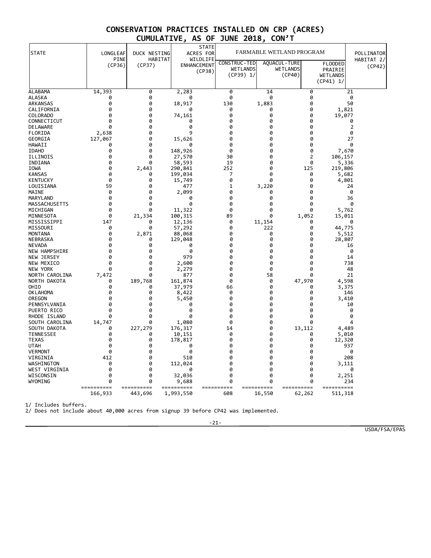| <b>STATE</b>                     | LONGLEAF              | DUCK NESTING          | <b>STATE</b><br>ACRES FOR         |                                 | FARMABLE WETLAND PROGRAM |                                   |                                | POLLINATOR           |
|----------------------------------|-----------------------|-----------------------|-----------------------------------|---------------------------------|--------------------------|-----------------------------------|--------------------------------|----------------------|
|                                  | PINE<br>(CP36)        | HABITAT<br>(CP37)     | WILDLIFE<br>ENHANCEMENT<br>(CP38) | CONSTRUC-TED<br><b>WETLANDS</b> |                          | <b>AQUACUL - TURE</b><br>WETLANDS | FLOODED<br>PRAIRIE             | HABITAT 2/<br>(CP42) |
|                                  |                       |                       |                                   | (CP39) 1/                       |                          | (CP40)                            | <b>WETLANDS</b><br>$(CP41)$ 1/ |                      |
| ALABAMA                          | 14,393                | 0                     | 2,283                             | 0                               | 14                       |                                   | 0                              | 21                   |
| ALASKA                           | 0                     | 0                     | 0                                 | 0                               | 0                        |                                   | 0                              | 0                    |
| ARKANSAS                         | 0                     | 0                     | 18,917                            | 130                             | 1,883                    |                                   | 0                              | 50                   |
| CALIFORNIA                       | 0                     | 0                     | 0                                 | 0                               | 0                        |                                   | 0<br>1,821                     |                      |
| <b>COLORADO</b>                  | 0                     | 0                     | 74,161                            | 0                               | 0                        |                                   | 0<br>19,077                    |                      |
| CONNECTICUT                      | 0                     | 0                     | 0                                 | 0                               | 0                        |                                   | 0                              | 0                    |
| <b>DELAWARE</b>                  | 0                     | 0                     | 0<br>9                            | ø                               | 0                        |                                   | 0                              | 2                    |
| FLORIDA<br>GEORGIA               | 2,638                 | 0<br>0                |                                   | 0<br>0                          | 0<br>0                   |                                   | 0<br>0                         | 0<br>27              |
| HAWAII                           | 127,067<br>0          | 0                     | 15,626<br>0                       | Ø                               | 0                        |                                   | 0                              | 0                    |
| <b>IDAHO</b>                     | 0                     | 0                     | 148,926                           | 0                               | 0                        |                                   | 0<br>7,670                     |                      |
| ILLINOIS                         | 0                     | 0                     | 27,570                            | 30                              | 0                        |                                   | 2<br>106,157                   |                      |
| INDIANA                          | 0                     | 0                     | 58,593                            | 19                              | 0                        |                                   | 0<br>5,336                     |                      |
| <b>IOWA</b>                      | 0                     | 2,443                 | 290,841                           | 252                             | 0                        |                                   | 125<br>219,806                 |                      |
| <b>KANSAS</b>                    | 0                     | 0                     | 199,034                           | 7                               | 0                        |                                   | 0<br>5,682                     |                      |
| <b>KENTUCKY</b>                  | 0                     | 0                     | 15,749                            | 0                               | 0                        |                                   | 0<br>4,801                     |                      |
| LOUISIANA                        | 59                    | 0                     | 477                               | 1                               | 3,220                    |                                   | 0                              | 24                   |
| MAINE                            | 0                     | 0                     | 2,099                             | 0                               | 0                        |                                   | 0                              | 0                    |
| MARYLAND                         | 0                     | 0                     | 0                                 | 0                               | 0                        |                                   | 0                              | 36                   |
| MASSACHUSETTS                    | 0                     | 0                     | ø                                 | 0                               | 0                        |                                   | 0                              | 0                    |
| MICHIGAN                         | 0                     | ø                     | 11,322                            | 0                               | 0                        |                                   | 0<br>5,762                     |                      |
| MINNESOTA                        | ø                     | 21,334                | 100,315                           | 89                              | 0                        | 1,052                             | 15,011                         |                      |
| MISSISSIPPI                      | 147                   | 0                     | 12,136                            | 0                               | 11,154                   |                                   | 0                              | 0                    |
| MISSOURI                         | 0                     | 0                     | 57,292                            | 0                               | 222                      |                                   | 0<br>44,775                    |                      |
| <b>MONTANA</b>                   | 0<br>0                | 2,871<br>0            | 88,068                            | 0<br>0                          | 0<br>0                   |                                   | 0<br>5,512<br>0                |                      |
| NEBRASKA<br><b>NEVADA</b>        | 0                     | 0                     | 129,048<br>0                      | 0                               | 0                        |                                   | 28,807<br>0                    | 16                   |
| NEW HAMPSHIRE                    | 0                     | ø                     | 0                                 | 0                               | 0                        |                                   | ø                              | 0                    |
| NEW JERSEY                       | 0                     | 0                     | 979                               | 0                               | 0                        |                                   | 0                              | 14                   |
| NEW MEXICO                       | 0                     | ø                     | 2,600                             | 0                               | 0                        |                                   | ø                              | 738                  |
| NEW YORK                         | 0                     | 0                     | 2,279                             | 0                               | 0                        |                                   | 0                              | 48                   |
| NORTH CAROLINA                   | 7,472                 | ø                     | 877                               | ø                               | 58                       |                                   | 0                              | 21                   |
| NORTH DAKOTA                     | 0                     | 189,768               | 161,874                           | 0                               | 0                        | 47,970                            | 4,598                          |                      |
| OHIO                             | 0                     | 0                     | 37,979                            | 66                              | 0                        |                                   | 0<br>3,375                     |                      |
| <b>OKLAHOMA</b>                  | 0                     | 0                     | 8,422                             | 0                               | 0                        |                                   | 0                              | 146                  |
| OREGON                           | 0                     | 0                     | 5,450                             | 0                               | 0                        |                                   | 0<br>3,410                     |                      |
| PENNSYLVANIA                     | 0                     | 0                     | 0                                 | 0                               | 0                        |                                   | 0                              | 10                   |
| PUERTO RICO                      | 0                     | 0                     | 0                                 | 0                               | 0                        |                                   | 0                              | 0                    |
| RHODE ISLAND                     | ø                     | 0                     | ø                                 | 0                               | 0                        |                                   | 0                              | 0                    |
| SOUTH CAROLINA                   | 14,747                | 0                     | 1,080                             | 0                               | 0                        |                                   | 0                              | 4                    |
| SOUTH DAKOTA                     | 0                     | 227,279               | 176,317                           | 14                              | 0                        | 13,112                            | 4,489                          |                      |
| <b>TENNESSEE</b><br><b>TEXAS</b> | 0<br>0                | 0<br>0                | 10,151<br>178,817                 | 0<br>0                          | 0<br>0                   |                                   | 5,010<br>0<br>0<br>12,320      |                      |
| <b>UTAH</b>                      | 0                     | 0                     | 0                                 | 0                               | 0                        |                                   | 0                              | 937                  |
| <b>VERMONT</b>                   | 0                     | 0                     | 0                                 | 0                               | 0                        |                                   | 0                              | 0                    |
| VIRGINIA                         | 412                   | 0                     | 510                               | 0                               | 0                        |                                   | 0                              | 208                  |
| WASHINGTON                       | 0                     | 0                     | 112,024                           | 0                               | 0                        |                                   | 0<br>3,111                     |                      |
| WEST VIRGINIA                    | 0                     | 0                     | 0                                 | 0                               | 0                        |                                   | 0                              | 0                    |
| WISCONSIN                        | 0                     | 0                     | 32,036                            | 0                               | 0                        |                                   | 0<br>2,251                     |                      |
| WYOMING                          | 0                     | ø                     | 9,688                             | 0                               | 0                        |                                   | 0                              | 234                  |
|                                  | ==========<br>166,933 | ==========<br>443,696 | ==========<br>1,993,550           | 608                             | ====<br>====<br>16,550   | ==========<br>62,262              | ==========<br>511,318          |                      |

1/ Includes buffers.

2/ Does not include about 40,000 acres from signup 39 before CP42 was implemented.

-21-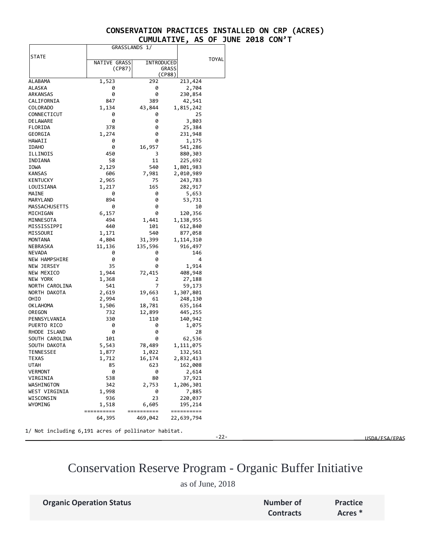|                      |              | GRASSLANDS 1/ |        |            |       |
|----------------------|--------------|---------------|--------|------------|-------|
| STATE                |              |               |        |            |       |
|                      | NATIVE GRASS | INTRODUCED    |        |            | TOYAL |
|                      | (CP87)       |               | GRASS  |            |       |
|                      |              |               | (CP88) |            |       |
| ALABAMA              | 1,523        | 292           |        | 213,424    |       |
| ALASKA               | 0            | 0             |        | 2,704      |       |
| <b>ARKANSAS</b>      | 0            | 0             |        | 230,854    |       |
| CALIFORNIA           | 847          | 389           |        | 42,541     |       |
| <b>COLORADO</b>      | 1,134        | 43,844        |        | 1,815,242  |       |
| CONNECTICUT          | 0            | 0             |        | 25         |       |
| DELAWARE             | 0            | 0             |        | 3,803      |       |
| FLORIDA              | 378          | 0             |        | 25,384     |       |
| GEORGIA              | 1,274        | 0             |        | 231,948    |       |
| HAWAII               | 0            | 0             |        | 1,175      |       |
| <b>IDAHO</b>         | 0            | 16,957        |        | 541,286    |       |
| ILLINOIS             | 450          | 3             |        | 880,303    |       |
| INDIANA              | 58           | 11            |        | 225,692    |       |
| IOWA                 | 2,129        | 540           |        | 1,801,983  |       |
| <b>KANSAS</b>        | 606          | 7,981         |        | 2,010,989  |       |
| KENTUCKY             | 2,965        | 75            |        | 243,783    |       |
| LOUISIANA            | 1,217        | 165           |        | 282,917    |       |
| MAINE                | 0            | 0             |        | 5,653      |       |
| MARYLAND             | 894          | 0             |        | 53,731     |       |
| MASSACHUSETTS        | 0            | 0             |        | 10         |       |
| MICHIGAN             | 6,157        | 0             |        | 120,356    |       |
| MINNESOTA            | 494          | 1,441         |        | 1,138,955  |       |
| MISSISSIPPI          | 440          | 101           |        | 612,840    |       |
| MISSOURI             | 1,171        | 540           |        | 877,058    |       |
| MONTANA              | 4,804        | 31,399        |        | 1,114,310  |       |
| NEBRASKA             | 11,136       | 135,596       |        | 916,497    |       |
| NEVADA               | 0            | 0             |        | 146        |       |
| <b>NEW HAMPSHIRE</b> | 0            | 0             |        | 4          |       |
| NEW JERSEY           | 35           | 0             |        | 1,914      |       |
| NEW MEXICO           | 1,944        | 72,415        |        | 408,948    |       |
| NEW YORK             | 1,368        | 2             |        | 27,188     |       |
| NORTH CAROLINA       | 541          | 7             |        | 59,173     |       |
| NORTH DAKOTA         | 2,619        | 19,663        |        | 1,307,801  |       |
| OHIO                 | 2,994        | 61            |        | 248,130    |       |
| OK LAHOMA            | 1,506        | 18,781        |        | 635,164    |       |
| OREGON               | 732          | 12,899        |        | 445,255    |       |
| PENNSYLVANIA         | 330          | 110           |        | 140,942    |       |
| PUERTO RICO          | 0            | 0             |        | 1,075      |       |
| RHODE ISLAND         | 0            | 0             |        | 28         |       |
| SOUTH CAROLINA       | 101          | 0             |        | 62,536     |       |
| SOUTH DAKOTA         | 5,543        | 78,489        |        | 1,111,075  |       |
| <b>TENNESSEE</b>     | 1,877        | 1,022         |        | 132,561    |       |
| TEXAS                | 1,712        | 16,174        |        | 2,832,413  |       |
| UTAH                 | 85           | 623           |        | 162,008    |       |
| <b>VERMONT</b>       | 0            | 0             |        | 2,614      |       |
| VIRGINIA             | 538          | 80            |        | 37,921     |       |
| WASHINGTON           | 342          | 2,753         |        | 1,206,301  |       |
| WEST VIRGINIA        | 1,998        | 0             |        | 7,885      |       |
| WISCONSIN            | 936          | 23            |        | 220,037    |       |
| WYOMING              | 1,518        | 6,605         |        | 195,214    |       |
|                      | ==========   | ========      |        | ========== |       |
|                      | 64,395       | 469,042       |        | 22,639,794 |       |
|                      |              |               |        |            |       |

1/ Not including 6,191 acres of pollinator habitat.

-22- USDA/FSA/EPAS

## Conservation Reserve Program - Organic Buffer Initiative

as of June, 2018

**Organic Operation Status Number of Number of** 

**Contracts**

**Practice Acres \***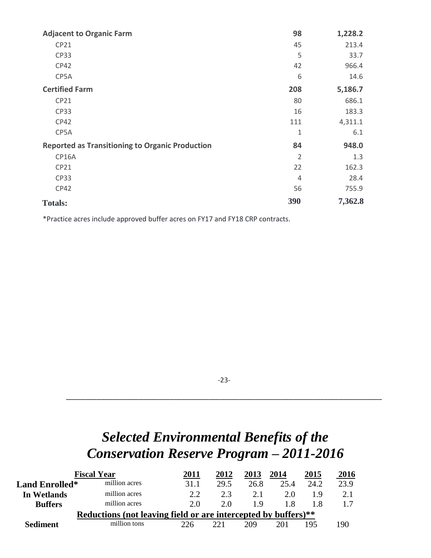| <b>Adjacent to Organic Farm</b>                        | 98             | 1,228.2 |
|--------------------------------------------------------|----------------|---------|
| CP21                                                   | 45             | 213.4   |
| <b>CP33</b>                                            | 5              | 33.7    |
| CP42                                                   | 42             | 966.4   |
| CP5A                                                   | 6              | 14.6    |
| <b>Certified Farm</b>                                  | 208            | 5,186.7 |
| CP21                                                   | 80             | 686.1   |
| <b>CP33</b>                                            | 16             | 183.3   |
| CP42                                                   | 111            | 4,311.1 |
| CP5A                                                   | $\mathbf{1}$   | 6.1     |
| <b>Reported as Transitioning to Organic Production</b> | 84             | 948.0   |
| CP16A                                                  | $\overline{2}$ | 1.3     |
| CP21                                                   | 22             | 162.3   |
| <b>CP33</b>                                            | $\overline{4}$ | 28.4    |
| CP42                                                   | 56             | 755.9   |
| <b>Totals:</b>                                         | 390            | 7,362.8 |

\*Practice acres include approved buffer acres on FY17 and FY18 CRP contracts.

-23-

\_\_\_\_\_\_\_\_\_\_\_\_\_\_\_\_\_\_\_\_\_\_\_\_\_\_\_\_\_\_\_\_\_\_\_\_\_\_\_\_\_\_\_\_\_\_\_\_\_\_\_\_\_\_\_\_\_\_\_\_\_\_\_\_\_\_\_\_\_\_\_\_\_\_\_\_\_\_\_\_\_\_

# *Selected Environmental Benefits of the Conservation Reserve Program – 2011-2016*

|                                                                | <b>Fiscal Year</b> | 2011 | 2012 | 2013 | 2014 | 2015 | 2016 |
|----------------------------------------------------------------|--------------------|------|------|------|------|------|------|
| <b>Land Enrolled*</b>                                          | million acres      | 31.1 | 29.5 | 26.8 | 25.4 | 24.2 | 23.9 |
| In Wetlands                                                    | million acres      | 2.2  | 2.3  | 2.1  | 2.0  | 19   |      |
| <b>Buffers</b>                                                 | million acres      | 2.0  | 2.0  | 1 Q  | 1.8  |      |      |
| Reductions (not leaving field or are intercepted by buffers)** |                    |      |      |      |      |      |      |
| <b>Sediment</b>                                                | million tons       | 226  | 221  | 209  | 201  | 195  | 190  |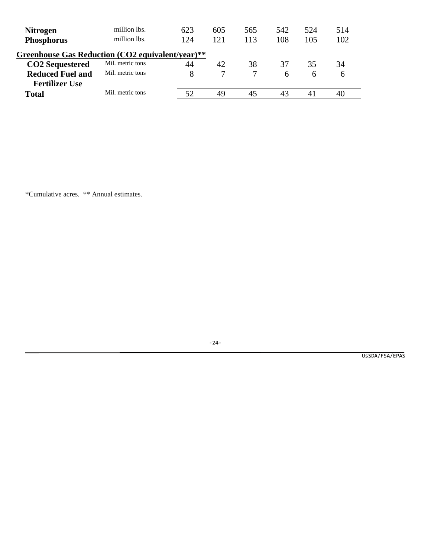| <b>Nitrogen</b><br><b>Phosphorus</b>             | million lbs.<br>million lbs. | 623<br>124 | 605<br>121 | 565<br>113 | 542<br>108 | 524<br>105   | 514<br>102    |  |
|--------------------------------------------------|------------------------------|------------|------------|------------|------------|--------------|---------------|--|
| Greenhouse Gas Reduction (CO2 equivalent/year)** |                              |            |            |            |            |              |               |  |
| <b>CO2</b> Sequestered                           | Mil. metric tons             | 44         | 42         | 38         | 37         | 35           | 34            |  |
| <b>Reduced Fuel and</b>                          | Mil. metric tons             | 8          |            |            | 6          | <sub>6</sub> | $\mathfrak b$ |  |
| <b>Fertilizer Use</b>                            |                              |            |            |            |            |              |               |  |
| <b>Total</b>                                     | Mil. metric tons             | 52         | 49         | 45         | 43         | 41           | 40            |  |
|                                                  |                              |            |            |            |            |              |               |  |

\*Cumulative acres. \*\* Annual estimates.

-24-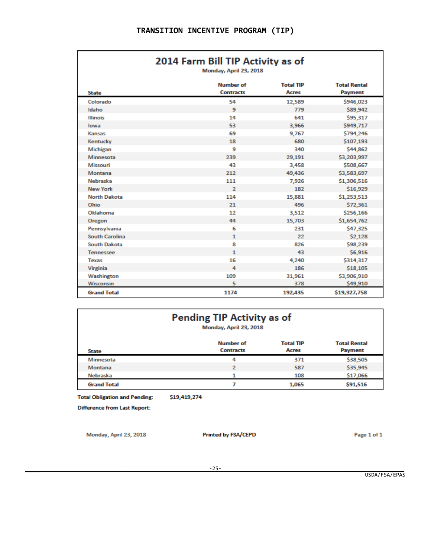## 2014 Farm Bill TIP Activity as of

Monday, April 23, 2018

| <b>State</b>          | <b>Number of</b><br><b>Contracts</b> | <b>Total TIP</b><br><b>Acres</b> | <b>Total Rental</b><br><b>Payment</b> |
|-----------------------|--------------------------------------|----------------------------------|---------------------------------------|
| Colorado              | 54                                   | 12,589                           | \$946,023                             |
| Idaho                 | 9                                    | 779                              | \$89,942                              |
| <b>Illinois</b>       | 14                                   | 641                              | \$95,317                              |
| lowa                  | 53                                   | 3,966                            | \$949,717                             |
| Kansas                | 69                                   | 9,767                            | \$794,246                             |
| Kentucky              | 18                                   | 680                              | \$107,193                             |
| <b>Michigan</b>       | 9                                    | 340                              | \$44,862                              |
| <b>Minnesota</b>      | 239                                  | 29,191                           | \$3,203,997                           |
| Missouri              | 43                                   | 3,458                            | \$508,667                             |
| Montana               | 212                                  | 49,436                           | \$3,583,697                           |
| <b>Nebraska</b>       | 111                                  | 7,926                            | \$1,306,516                           |
| <b>New York</b>       | $\overline{2}$                       | 182                              | \$16,929                              |
| <b>North Dakota</b>   | 114                                  | 15,881                           | \$1,253,513                           |
| Ohio                  | 21                                   | 496                              | \$72,361                              |
| Oklahoma              | 12                                   | 3,512                            | \$256,166                             |
| Oregon                | 44                                   | 15,703                           | \$1,654,762                           |
| Pennsylvania          | 6                                    | 231                              | \$47,325                              |
| <b>South Carolina</b> | $\mathbf{1}$                         | 22                               | \$2,128                               |
| <b>South Dakota</b>   | 8                                    | 826                              | \$98,239                              |
| <b>Tennessee</b>      | $\mathbf{1}$                         | 43                               | \$6,916                               |
| <b>Texas</b>          | 16                                   | 4,240                            | \$314,317                             |
| Virginia              | 4                                    | 186                              | \$18,105                              |
| Washington            | 109                                  | 31,961                           | \$3,906,910                           |
| <b>Wisconsin</b>      | 5                                    | 378                              | \$49,910                              |
| <b>Grand Total</b>    | 1174                                 | 192,435                          | \$19,327,758                          |

| <b>Pending TIP Activity as of</b><br>Monday, April 23, 2018                                                                       |                |       |          |  |  |  |  |
|-----------------------------------------------------------------------------------------------------------------------------------|----------------|-------|----------|--|--|--|--|
| <b>Number of</b><br><b>Total Rental</b><br><b>Total TIP</b><br><b>Contracts</b><br><b>Acres</b><br><b>Payment</b><br><b>State</b> |                |       |          |  |  |  |  |
| <b>Minnesota</b>                                                                                                                  | 4              | 371   | \$38,505 |  |  |  |  |
| Montana                                                                                                                           | $\overline{2}$ | 587   | \$35,945 |  |  |  |  |
| Nebraska                                                                                                                          |                | 108   | \$17,066 |  |  |  |  |
| <b>Grand Total</b>                                                                                                                |                | 1,065 | \$91,516 |  |  |  |  |

\$19,419,274 **Total Obligation and Pending:** 

**Difference from Last Report:** 

Monday, April 23, 2018

**Printed by FSA/CEPD** 

Page 1 of 1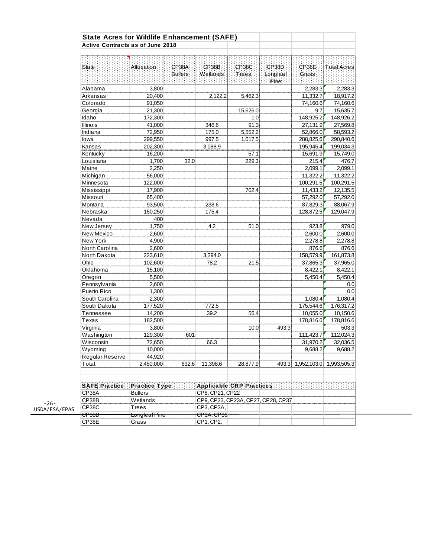|                      | <b>State Acres for Wildlife Enhancement (SAFE)</b> |                   |                                    |                |                   |                   |             |
|----------------------|----------------------------------------------------|-------------------|------------------------------------|----------------|-------------------|-------------------|-------------|
|                      | <b>Active Contracts as of June 2018</b>            |                   |                                    |                |                   |                   |             |
| <b>State</b>         | Allocation.                                        | CP38A<br>Buffers: | CP38B<br>Wetlands                  | CP38C<br>Trees | CP38D<br>Longleaf | CP38E<br>Grass    | Total Acres |
|                      |                                                    |                   |                                    |                | Pine:             |                   |             |
| Alabama              | 3,800                                              |                   |                                    |                |                   | 2,283.3           | 2,283.3     |
| Arkansas             | 20,400                                             |                   | 2,122.2                            | 5,462.3        |                   | 11,332.7          | 18,917.2    |
| Colorado             | 91,050                                             |                   |                                    |                |                   | 74,160.6          | 74,160.6    |
| Georgia              | 21,300                                             |                   |                                    | 15,626.0       |                   | 9.7               | 15,635.7    |
| Idaho                | 172,300                                            |                   |                                    | 1.0            |                   | 148,925.2         | 148,926.2   |
| <b>Illinois</b>      | 41,000                                             |                   | 346.6                              | 91.3           |                   | 27,131.9          | 27,569.8    |
| Indiana              | 72,950                                             |                   | 175.0                              | 5,552.2        |                   | 52,866.0          | 58,593.2    |
| lowa                 | 299,550                                            |                   | 997.5                              | 1,017.5        |                   | 288,825.6         | 290,840.6   |
| Kansas               | 202,300                                            |                   | 3,088.9                            |                |                   | 195,945.4         | 199,034.3   |
| Kentucky             | 16,200                                             |                   |                                    | 57.1           |                   | 15,691.9          | 15,749.0    |
| Louisiana            | 1,700                                              | 32.0              |                                    | 229.3          |                   | 215.4             | 476.7       |
| Maine                | 2,250                                              |                   |                                    |                |                   | 2,099.1           | 2,099.1     |
| Michigan             | 56,000                                             |                   |                                    |                |                   | 11,322.2          | 11,322.2    |
| Minnesota            | 122,000                                            |                   |                                    |                |                   | 100,291.5         | 100,291.5   |
| Mississippi          | 17,900                                             |                   |                                    | 702.4          |                   | 11,433.2          | 12,135.5    |
| Missouri             | 65,400                                             |                   |                                    |                |                   | 57.292.0          | 57,292.0    |
| Montana              | 93,500                                             |                   | 238.6                              |                |                   | 87,829.3          | 88,067.9    |
| Nebraska             | 150,250                                            |                   | 175.4                              |                |                   | 128,872.5         | 129,047.9   |
| Nevada               | 400                                                |                   |                                    |                |                   |                   |             |
| New Jersey           | 1,750                                              |                   | 4.2                                | 51.0           |                   | 923.8             | 979.0       |
| New Mexico           | 2,600                                              |                   |                                    |                |                   | 2,600.0           | 2,600.0     |
| New York             | 4,900                                              |                   |                                    |                |                   | 2,278.8           | 2,278.8     |
| North Carolina       | 2,600                                              |                   |                                    |                |                   | 876.6             | 876.6       |
| North Dakota         | 223,610                                            |                   | 3,294.0                            |                |                   | 158,579.9         | 161,873.8   |
| Ohio                 | 102,600                                            |                   | 78.2                               | 21.5           |                   | 37,865.3          | 37,965.0    |
| Oklahoma             | 15,100                                             |                   |                                    |                |                   | 8,422.1           | 8,422.1     |
|                      | 5,500                                              |                   |                                    |                |                   | 5,450.4           | 5,450.4     |
| Oregon               |                                                    |                   |                                    |                |                   |                   |             |
| Pennsylvania         | 2,600                                              |                   |                                    |                |                   |                   | 0.0         |
| Puerto Rico          | 1,300                                              |                   |                                    |                |                   |                   | 0.0         |
| South Carolina       | 2,300                                              |                   |                                    |                |                   | 1,080.4           | 1,080.4     |
| South Dakota         | 177,520                                            |                   | 772.5                              |                |                   | 175,544.6         | 176,317.2   |
| Tennessee            | 14,200                                             |                   | 39.2                               | 56.4           |                   | 10,055.0          | 10,150.6    |
| Texas                | 182,500                                            |                   |                                    |                |                   | 178,816.6         | 178,816.6   |
| Virginia             | 3,800                                              |                   |                                    | 10.0           | 493.3             |                   | 503.3       |
| Washington           | 129,300                                            | 601               |                                    |                |                   | 111,423.7         | 112,024.3   |
| Wisconsin            | 72,650                                             |                   | 66.3                               |                |                   | 31,970.2          | 32,036.5    |
| Wyoming              | 10,000                                             |                   |                                    |                |                   | 9,688.2           | 9,688.2     |
| Regular Reserve      | 44,920                                             |                   |                                    |                |                   |                   |             |
| Total:               | 2,450,000                                          | 632.6             | 11,398.6                           | 28,877.9       |                   | 493.3 1,952,103.0 | 1,993,505.3 |
|                      |                                                    |                   |                                    |                |                   |                   |             |
| <b>SAFE Practice</b> | Practice Type:                                     |                   | <b>Applicable CRP Practices</b>    |                |                   |                   |             |
| CP38A                | <b>Buffers</b>                                     |                   | CP8, CP21, CP22                    |                |                   |                   |             |
| CP38B                | Wetlands                                           |                   | CP9, CP23, CP23A, CP27, CP28, CP37 |                |                   |                   |             |
| CP38C                | Trees                                              |                   | CP3, CP3A,                         |                |                   |                   |             |
| <del>CP38D</del>     | <del>Longleaf Pine</del>                           |                   | CP3A, CP36                         |                |                   |                   |             |
| CP38E                | Grass                                              |                   | CP1, CP2,                          |                |                   |                   |             |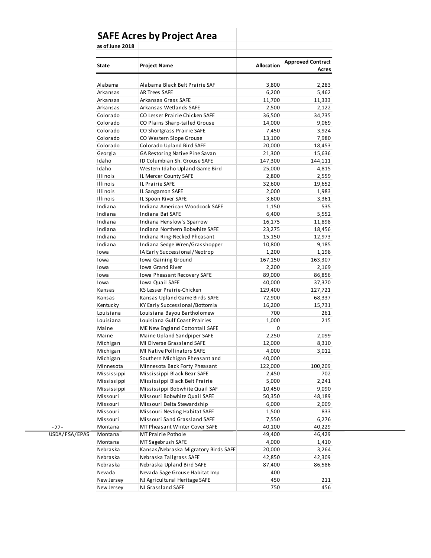|                 | <b>SAFE Acres by Project Area</b>    |                   |                                   |  |
|-----------------|--------------------------------------|-------------------|-----------------------------------|--|
| as of June 2018 |                                      |                   |                                   |  |
| State           | <b>Project Name</b>                  | <b>Allocation</b> | <b>Approved Contract</b><br>Acres |  |
|                 |                                      |                   |                                   |  |
| Alabama         | Alabama Black Belt Prairie SAF       | 3,800             | 2,283                             |  |
| Arkansas        | AR Trees SAFE                        | 6,200             | 5,462                             |  |
| Arkansas        | Arkansas Grass SAFE                  | 11,700            | 11,333                            |  |
| Arkansas        | Arkansas Wetlands SAFE               | 2,500             | 2,122                             |  |
| Colorado        | CO Lesser Prairie Chicken SAFE       | 36,500            | 34,735                            |  |
| Colorado        | CO Plains Sharp-tailed Grouse        | 14,000            | 9,069                             |  |
| Colorado        | CO Shortgrass Prairie SAFE           | 7,450             | 3,924                             |  |
| Colorado        | CO Western Slope Grouse              | 13,100            | 7,980                             |  |
| Colorado        | Colorado Upland Bird SAFE            | 20,000            | 18,453                            |  |
| Georgia         | GA Restoring Native Pine Savan       | 21,300            | 15,636                            |  |
| Idaho           | ID Columbian Sh. Grouse SAFE         | 147,300           | 144,111                           |  |
| Idaho           | Western Idaho Upland Game Bird       | 25,000            | 4,815                             |  |
| <b>Illinois</b> | IL Mercer County SAFE                | 2,800             | 2,559                             |  |
| <b>Illinois</b> | IL Prairie SAFE                      | 32,600            | 19,652                            |  |
| <b>Illinois</b> | IL Sangamon SAFE                     | 2,000             | 1,983                             |  |
| <b>Illinois</b> | IL Spoon River SAFE                  | 3,600             | 3,361                             |  |
| Indiana         | Indiana American Woodcock SAFE       | 1,150             | 535                               |  |
| Indiana         | Indiana Bat SAFE                     | 6,400             | 5,552                             |  |
| Indiana         | Indiana Henslow's Sparrow            | 16,175            | 11,898                            |  |
| Indiana         | Indiana Northern Bobwhite SAFE       | 23,275            | 18,456                            |  |
| Indiana         | Indiana Ring-Necked Pheasant         | 15,150            | 12,973                            |  |
| Indiana         | Indiana Sedge Wren/Grasshopper       | 10,800            | 9,185                             |  |
| Iowa            | IA Early Successional/Neotrop        | 1,200             |                                   |  |
|                 |                                      |                   | 1,198                             |  |
| Iowa            | Iowa Gaining Ground                  | 167,150           | 163,307                           |  |
| Iowa            | Iowa Grand River                     | 2,200             | 2,169                             |  |
| Iowa            | Iowa Pheasant Recovery SAFE          | 89,000            | 86,856                            |  |
| Iowa            | Iowa Quail SAFE                      | 40,000            | 37,370                            |  |
| Kansas          | KS Lesser Prairie-Chicken            | 129,400           | 127,721                           |  |
| Kansas          | Kansas Upland Game Birds SAFE        | 72,900            | 68,337                            |  |
| Kentucky        | KY Early Successional/Bottomla       | 16,200            | 15,731                            |  |
| Louisiana       | Louisiana Bayou Bartholomew          | 700               | 261                               |  |
| Louisiana       | Louisiana Gulf Coast Prairies        | 1,000             | 215                               |  |
| Maine           | ME New England Cottontail SAFE       | 0                 |                                   |  |
| Maine           | Maine Upland Sandpiper SAFE          | 2,250             | 2,099                             |  |
| Michigan        | MI Diverse Grassland SAFE            | 12,000            | 8,310                             |  |
| Michigan        | MI Native Pollinators SAFE           | 4,000             | 3,012                             |  |
| Michigan        | Southern Michigan Pheasant and       | 40,000            |                                   |  |
| Minnesota       | Minnesota Back Forty Pheasant        | 122,000           | 100,209                           |  |
| Mississippi     | Mississippi Black Bear SAFE          | 2,450             | 702                               |  |
| Mississippi     | Mississippi Black Belt Prairie       | 5,000             | 2,241                             |  |
| Mississippi     | Mississippi Bobwhite Quail SAF       | 10,450            | 9,090                             |  |
| Missouri        | Missouri Bobwhite Quail SAFE         | 50,350            | 48,189                            |  |
| Missouri        | Missouri Delta Stewardship           | 6,000             | 2,009                             |  |
| Missouri        | Missouri Nesting Habitat SAFE        | 1,500             | 833                               |  |
| Missouri        | Missouri Sand Grassland SAFE         | 7,550             | 6,276                             |  |
| Montana         | MT Pheasant Winter Cover SAFE        | 40,100            | 40,229                            |  |
| Montana         | MT Prairie Pothole                   | 49,400            | 46,429                            |  |
| Montana         | MT Sagebrush SAFE                    | 4,000             | 1,410                             |  |
| Nebraska        | Kansas/Nebraska Migratory Birds SAFE | 20,000            | 3,264                             |  |
| Nebraska        | Nebraska Tallgrass SAFE              | 42,850            | 42,309                            |  |
| Nebraska        | Nebraska Upland Bird SAFE            | 87,400            | 86,586                            |  |
| Nevada          | Nevada Sage Grouse Habitat Imp       | 400               |                                   |  |
| New Jersey      | NJ Agricultural Heritage SAFE        | 450               | 211                               |  |
| New Jersey      | NJ Grassland SAFE                    | 750               | 456                               |  |
|                 |                                      |                   |                                   |  |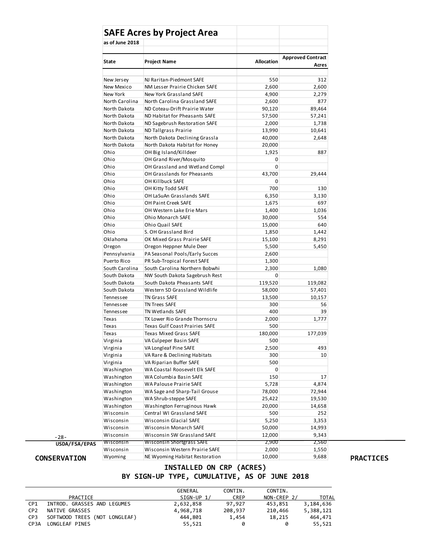|                                | <b>SAFE Acres by Project Area</b> |                   |                          |
|--------------------------------|-----------------------------------|-------------------|--------------------------|
| as of June 2018                |                                   |                   |                          |
|                                |                                   |                   |                          |
| <b>State</b>                   | <b>Project Name</b>               | <b>Allocation</b> | <b>Approved Contract</b> |
|                                |                                   |                   | Acres                    |
|                                |                                   |                   |                          |
| New Jersey                     | NJ Raritan-Piedmont SAFE          | 550               | 312                      |
| New Mexico                     | NM Lesser Prairie Chicken SAFE    | 2,600             | 2,600                    |
| New York                       | New York Grassland SAFE           | 4,900             | 2,279                    |
| North Carolina                 | North Carolina Grassland SAFE     | 2,600             | 877                      |
| North Dakota                   | ND Coteau-Drift Prairie Water     | 90,120            | 89,464                   |
| North Dakota                   | ND Habitat for Pheasants SAFE     | 57,500            | 57,241                   |
| North Dakota                   | ND Sagebrush Restoration SAFE     | 2,000             | 1,738                    |
| North Dakota                   | ND Tallgrass Prairie              | 13,990            | 10,641                   |
| North Dakota                   | North Dakota Declining Grassla    | 40,000            | 2,648                    |
| North Dakota                   | North Dakota Habitat for Honey    | 20,000            |                          |
| Ohio                           | OH Big Island/Killdeer            | 1,925             | 887                      |
| Ohio                           | OH Grand River/Mosquito           | 0                 |                          |
| Ohio                           | OH Grassland and Wetland Compl    | $\mathbf 0$       |                          |
| Ohio                           | OH Grasslands for Pheasants       | 43,700            | 29,444                   |
| Ohio                           | OH Killbuck SAFE                  | $\mathbf 0$       |                          |
| Ohio                           | OH Kitty Todd SAFE                | 700               | 130                      |
| Ohio                           | OH LaSuAn Grasslands SAFE         | 6,350             | 3,130                    |
| Ohio                           | OH Paint Creek SAFE               | 1,675             | 697                      |
| Ohio                           | OH Western Lake Erie Mars         | 1,400             | 1,036                    |
| Ohio                           | <b>Ohio Monarch SAFE</b>          | 30,000            | 554                      |
| Ohio                           | Ohio Quail SAFE                   | 15,000            | 640                      |
| Ohio                           | S. OH Grassland Bird              | 1,850             | 1,442                    |
| Oklahoma                       | OK Mixed Grass Prairie SAFE       | 15,100            | 8,291                    |
| Oregon                         | Oregon Heppner Mule Deer          | 5,500             | 5,450                    |
| Pennsylvania                   | PA Seasonal Pools/Early Succes    | 2,600             |                          |
| Puerto Rico                    | PR Sub-Tropical Forest SAFE       | 1,300             |                          |
| South Carolina                 | South Carolina Northern Bobwhi    | 2,300             | 1,080                    |
| South Dakota                   | NW South Dakota Sagebrush Rest    | 0                 |                          |
| South Dakota                   | South Dakota Pheasants SAFE       | 119,520           | 119,082                  |
| South Dakota                   | Western SD Grassland Wildlife     | 58,000            | 57,401                   |
| Tennessee                      | TN Grass SAFE                     | 13,500            | 10,157                   |
| Tennessee                      | TN Trees SAFE                     | 300               | 56                       |
| Tennessee                      | TN Wetlands SAFE                  | 400               | 39                       |
| Texas                          | TX Lower Rio Grande Thornscru     | 2,000             | 1,777                    |
| Texas                          | Texas Gulf Coast Prairies SAFE    | 500               |                          |
| Texas                          | <b>Texas Mixed Grass SAFE</b>     | 180,000           | 177,039                  |
| Virginia                       | VA Culpeper Basin SAFE            | 500               |                          |
| Virginia                       | VA Longleaf Pine SAFE             | 2,500             | 493                      |
| Virginia                       | VA Rare & Declining Habitats      | 300               | 10                       |
| Virginia                       | VA Riparian Buffer SAFE           | 500               |                          |
| Washington                     | WA Coastal Roosevelt Elk SAFE     | 0                 |                          |
| Washington                     | WA Columbia Basin SAFE            | 150               | 17                       |
| Washington                     | WA Palouse Prairie SAFE           | 5,728             | 4,874                    |
| Washington                     | WA Sage and Sharp-Tail Grouse     | 78,000            | 72,944                   |
| Washington                     | WA Shrub-steppe SAFE              | 25,422            | 19,530                   |
| Washington                     | Washington Ferruginous Hawk       | 20,000            | 14,658                   |
| Wisconsin                      | Central WI Grassland SAFE         | 500               | 252                      |
| Wisconsin                      | Wisconsin Glacial SAFE            | 5,250             | 3,353                    |
| Wisconsin                      | Wisconsin Monarch SAFE            | 50,000            | 14,993                   |
| Wisconsin                      | Wisconsin SW Grassland SAFE       | 12,000            | 9,343                    |
| Wisconsin<br>USDA/FSA/EPAS     | <b>Wisconsin Shortgrass SAFE</b>  | 2,900             | 2,560                    |
| Wisconsin                      | Wisconsin Western Prairie SAFE    | 2,000             | 1,550                    |
| Wyoming<br><b>CONSERVATION</b> | NE Wyoming Habitat Restoration    | 10,000            | 9,688                    |

### **INSTALLED ON CRP (ACRES) BY SIGN-UP TYPE, CUMULATIVE, AS OF JUNE 2018**

|                   |                               | GENERAL      | CONTIN. | CONTIN.     |              |
|-------------------|-------------------------------|--------------|---------|-------------|--------------|
|                   | PRACTICE                      | $SIGN-UP 1/$ | CREP    | NON-CREP 2/ | <b>TOTAL</b> |
| CP <sub>1</sub>   | INTROD. GRASSES AND LEGUMES   | 2,632,858    | 97,927  | 453,851     | 3,184,636    |
| CP <sub>2</sub>   | NATIVE GRASSES                | 4,968,718    | 208,937 | 210,466     | 5,388,121    |
| CP <sub>3</sub>   | SOFTWOOD TREES (NOT LONGLEAF) | 444,801      | 1,454   | 18,215      | 464,471      |
| CP <sub>3</sub> A | LONGLEAF PINES                | 55,521       | 0       |             | 55,521       |